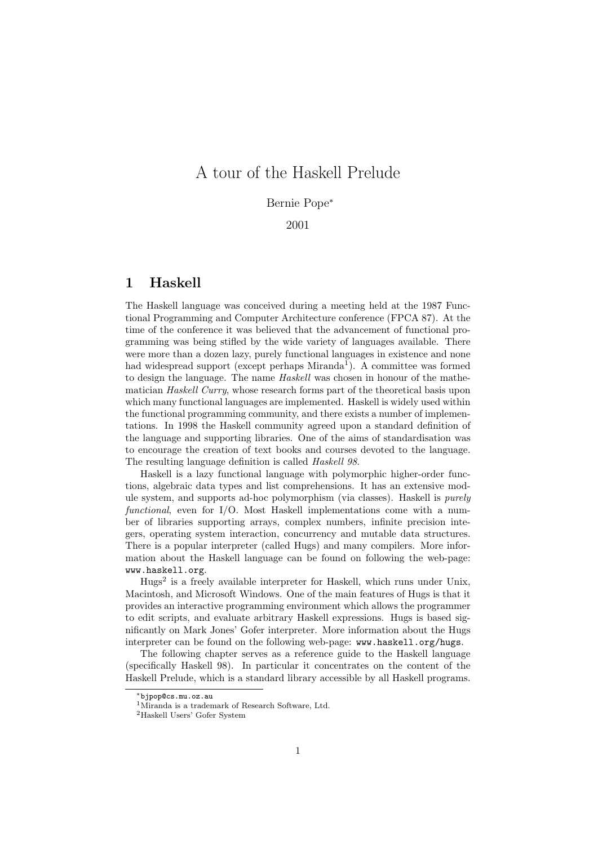## A tour of the Haskell Prelude

#### Bernie Pope<sup>∗</sup>

#### 2001

#### 1 Haskell

The Haskell language was conceived during a meeting held at the 1987 Functional Programming and Computer Architecture conference (FPCA 87). At the time of the conference it was believed that the advancement of functional programming was being stifled by the wide variety of languages available. There were more than a dozen lazy, purely functional languages in existence and none had widespread support (except perhaps Miranda<sup>1</sup>). A committee was formed to design the language. The name Haskell was chosen in honour of the mathematician Haskell Curry, whose research forms part of the theoretical basis upon which many functional languages are implemented. Haskell is widely used within the functional programming community, and there exists a number of implementations. In 1998 the Haskell community agreed upon a standard definition of the language and supporting libraries. One of the aims of standardisation was to encourage the creation of text books and courses devoted to the language. The resulting language definition is called *Haskell 98*.

Haskell is a lazy functional language with polymorphic higher-order functions, algebraic data types and list comprehensions. It has an extensive module system, and supports ad-hoc polymorphism (via classes). Haskell is *purely* functional, even for I/O. Most Haskell implementations come with a number of libraries supporting arrays, complex numbers, infinite precision integers, operating system interaction, concurrency and mutable data structures. There is a popular interpreter (called Hugs) and many compilers. More information about the Haskell language can be found on following the web-page: www.haskell.org.

Hugs<sup>2</sup> is a freely available interpreter for Haskell, which runs under Unix, Macintosh, and Microsoft Windows. One of the main features of Hugs is that it provides an interactive programming environment which allows the programmer to edit scripts, and evaluate arbitrary Haskell expressions. Hugs is based significantly on Mark Jones' Gofer interpreter. More information about the Hugs interpreter can be found on the following web-page: www.haskell.org/hugs.

The following chapter serves as a reference guide to the Haskell language (specifically Haskell 98). In particular it concentrates on the content of the Haskell Prelude, which is a standard library accessible by all Haskell programs.

<sup>∗</sup>bjpop@cs.mu.oz.au

<sup>1</sup>Miranda is a trademark of Research Software, Ltd.

<sup>2</sup>Haskell Users' Gofer System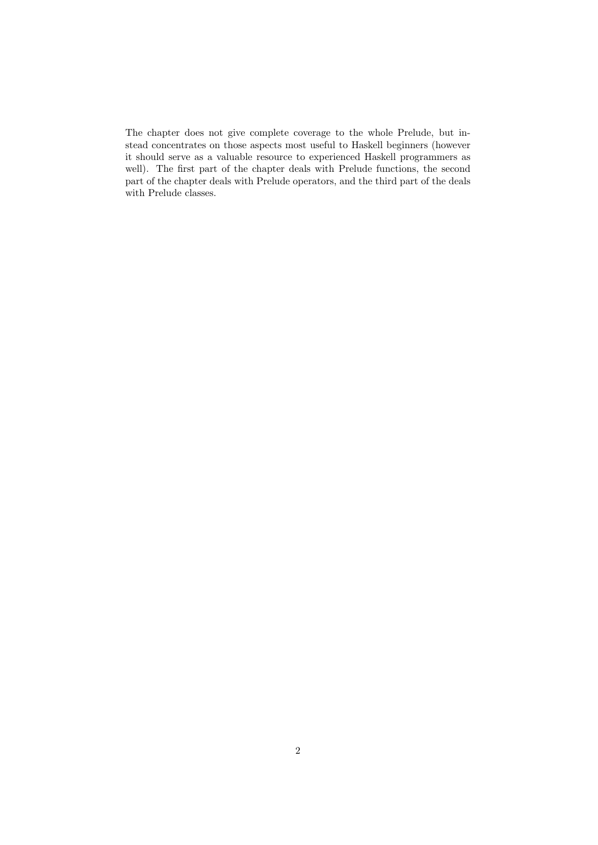The chapter does not give complete coverage to the whole Prelude, but instead concentrates on those aspects most useful to Haskell beginners (however it should serve as a valuable resource to experienced Haskell programmers as well). The first part of the chapter deals with Prelude functions, the second part of the chapter deals with Prelude operators, and the third part of the deals with Prelude classes.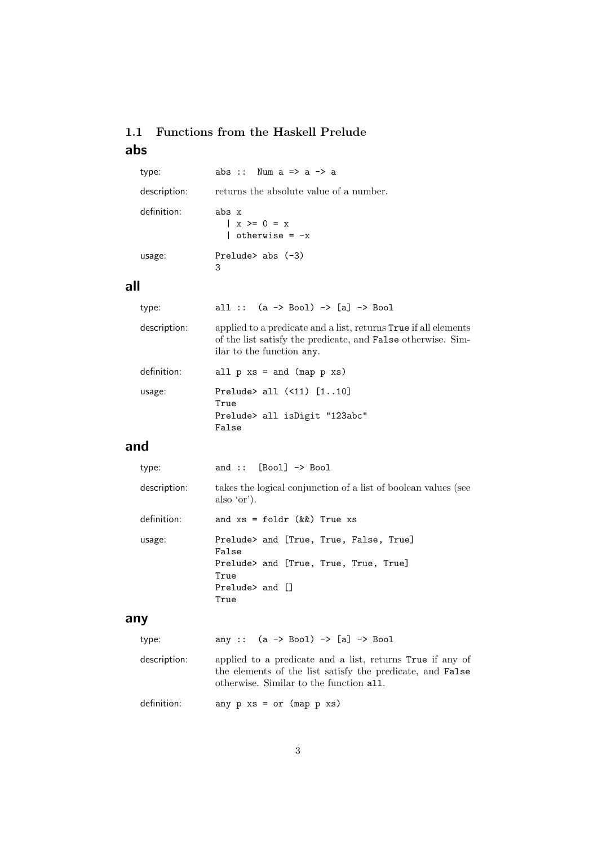## 1.1 Functions from the Haskell Prelude abs

| type:        | abs :: Num $a \Rightarrow a \Rightarrow a$           |
|--------------|------------------------------------------------------|
| description: | returns the absolute value of a number.              |
| definition:  | abs x<br>$  x > = 0 = x$<br>$\vert$ otherwise = $-x$ |
| usage:       | Prelude abs $(-3)$<br>3                              |

## all

| type:        | all :: $(a \rightarrow Bool) \rightarrow [a] \rightarrow Bool$                                                                                                             |
|--------------|----------------------------------------------------------------------------------------------------------------------------------------------------------------------------|
| description: | applied to a predicate and a list, returns <b>True</b> if all elements<br>of the list satisfy the predicate, and <b>False</b> otherwise. Sim-<br>ilar to the function any. |
| definition:  | all $p$ $xs$ = and (map $p$ $xs$ )                                                                                                                                         |
| usage:       | Prelude> all $(51)$ $[110]$<br>True<br>Prelude> all isDigit "123abc"<br>False                                                                                              |

## and

| type:        | and :: $[Bool] \rightarrow Bool$                                              |
|--------------|-------------------------------------------------------------------------------|
| description: | takes the logical conjunction of a list of boolean values (see<br>also 'or'). |
| definition:  | and $xs = foldr$ ( $\&\&$ ) True $xs$                                         |
| usage:       | Prelude> and [True, True, False, True]<br>False                               |
|              | Prelude> and [True, True, True, True]<br>True                                 |
|              | $Prelude >$ and $\Box$<br>True                                                |
|              |                                                                               |

## any

| type:        | any :: $(a \rightarrow Bool) \rightarrow [a] \rightarrow Bool$                                                                                                           |
|--------------|--------------------------------------------------------------------------------------------------------------------------------------------------------------------------|
| description: | applied to a predicate and a list, returns True if any of<br>the elements of the list satisfy the predicate, and <b>False</b><br>otherwise. Similar to the function all. |
| definition:  | any $p$ $xs = or$ (map $p$ $xs$ )                                                                                                                                        |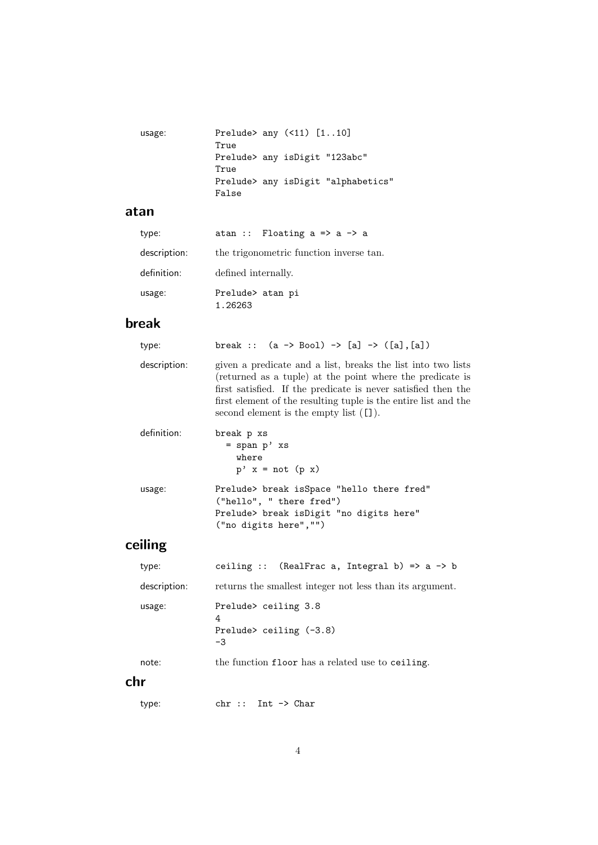| usage: | Prelude> any $($ <11) $[110]$      |
|--------|------------------------------------|
|        | True                               |
|        | Prelude> any isDigit "123abc"      |
|        | True                               |
|        | Prelude> any isDigit "alphabetics" |
|        | False                              |

### atan

| type:        | atan :: Floating $a \Rightarrow a \Rightarrow a$ |
|--------------|--------------------------------------------------|
| description: | the trigonometric function inverse tan.          |
| definition:  | defined internally.                              |
| usage:       | Prelude> atan pi<br>1.26263                      |

# break

| type:        | break :: $(a \rightarrow Boo1) \rightarrow [a] \rightarrow ([a], [a])$                                                                                                                                                                                                                                                      |
|--------------|-----------------------------------------------------------------------------------------------------------------------------------------------------------------------------------------------------------------------------------------------------------------------------------------------------------------------------|
| description: | given a predicate and a list, breaks the list into two lists<br>(returned as a tuple) at the point where the predicate is<br>first satisfied. If the predicate is never satisfied then the<br>first element of the resulting tuple is the entire list and the<br>second element is the empty list $(\lceil \cdot \rceil)$ . |
| definition:  | break p xs<br>$=$ span $p'$ xs<br>where<br>$p'$ x = not (p x)                                                                                                                                                                                                                                                               |
| usage:       | Prelude> break isSpace "hello there fred"<br>("hello", " there freq")<br>Prelude> break isDigit "no digits here"<br>("no digits here","")                                                                                                                                                                                   |

# ceiling

| type:        | ceiling :: (RealFrac a, Integral b) => $a \rightarrow b$     |
|--------------|--------------------------------------------------------------|
| description: | returns the smallest integer not less than its argument.     |
| usage:       | Prelude> ceiling 3.8<br>4<br>Prelude> ceiling $(-3.8)$<br>-3 |
| note:        | the function floor has a related use to ceiling.             |
| .            |                                                              |

## chr

type: chr :: Int -> Char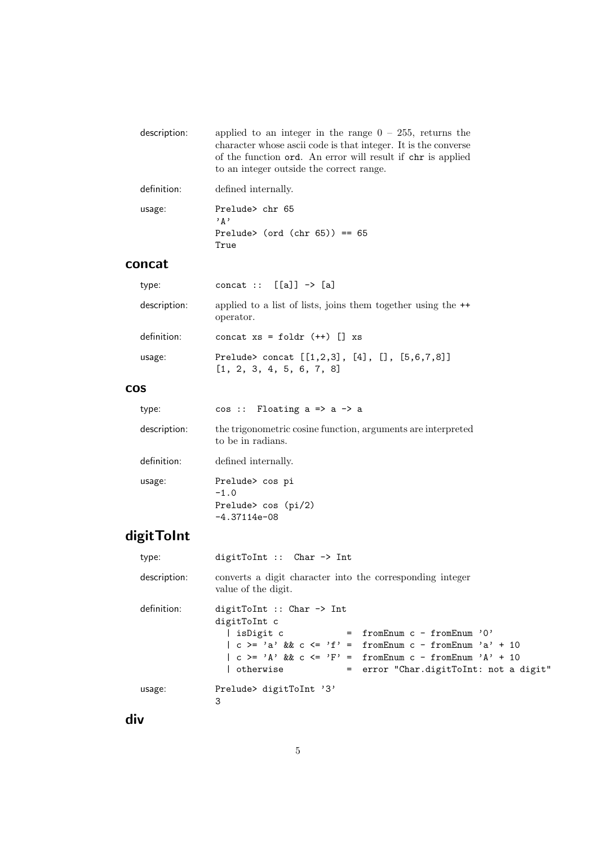| description: | applied to an integer in the range $0 - 255$ , returns the<br>character whose ascii code is that integer. It is the converse<br>of the function ord. An error will result if chr is applied<br>to an integer outside the correct range. |
|--------------|-----------------------------------------------------------------------------------------------------------------------------------------------------------------------------------------------------------------------------------------|
| definition:  | defined internally.                                                                                                                                                                                                                     |
| usage:       | Prelude> chr 65<br>י ג י<br>Prelude> (ord (chr $65$ )) == $65$                                                                                                                                                                          |

### concat

True

| type:        | concat :: $[[a]] \rightarrow [a]$                                              |
|--------------|--------------------------------------------------------------------------------|
| description: | applied to a list of lists, joins them together using the $+$<br>operator.     |
| definition:  | concat $xs = foldr (++) [] xs$                                                 |
| usage:       | Prelude> concat $[[1,2,3], [4], []$ , $[5,6,7,8]]$<br>[1, 2, 3, 4, 5, 6, 7, 8] |

### cos

| type:        | $cos ::$ Floating $a \Rightarrow a \Rightarrow a$                                 |
|--------------|-----------------------------------------------------------------------------------|
| description: | the trigonometric cosine function, arguments are interpreted<br>to be in radians. |
| definition:  | defined internally.                                                               |
| usage:       | Prelude> cos pi<br>$-1.0$<br>Prelude> $cos(pi/2)$<br>$-4.37114e-08$               |

# digitToInt

| type:        | digitToInt :: $Char \rightarrow Int$                                                                                                                                                                                                                                                                                                       |
|--------------|--------------------------------------------------------------------------------------------------------------------------------------------------------------------------------------------------------------------------------------------------------------------------------------------------------------------------------------------|
| description: | converts a digit character into the corresponding integer<br>value of the digit.                                                                                                                                                                                                                                                           |
| definition:  | digitToInt :: Char $\rightarrow$ Int<br>digitToInt c<br>  isDigit c<br>fromEnum $c$ - fromEnum '0'<br>$=$ $-$<br>$  c \rangle =   a' \& c \rangle =   f'   = \text{fromEnum } c - \text{fromEnum } a' + 10$<br>$  c \rangle = 'A' \& c \leq 'F' = fromEnum c - fromEnum 'A' + 10$<br>  otherwise<br>= error "Char.digitToInt: not a digit" |
| usage:       | Prelude> digitToInt '3'<br>3                                                                                                                                                                                                                                                                                                               |

div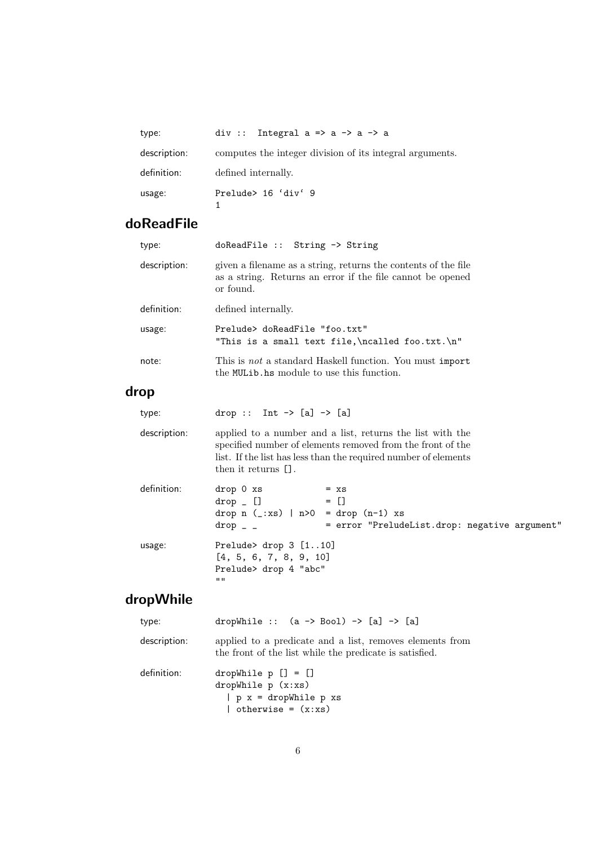| type:        | div :: Integral $a \Rightarrow a \Rightarrow a \Rightarrow a$ |
|--------------|---------------------------------------------------------------|
| description: | computes the integer division of its integral arguments.      |
| definition:  | defined internally.                                           |
| usage:       | Prelude> 16 'div' 9                                           |

## doReadFile

| type:        | doReadFile :: String -> String                                                                                                                                                                                    |
|--------------|-------------------------------------------------------------------------------------------------------------------------------------------------------------------------------------------------------------------|
| description: | given a filename as a string, returns the contents of the file<br>as a string. Returns an error if the file cannot be opened<br>or found.                                                                         |
| definition:  | defined internally.                                                                                                                                                                                               |
| usage:       | Prelude> doReadFile "foo.txt"<br>"This is a small text file, \ncalled foo.txt. \n"                                                                                                                                |
| note:        | This is <i>not</i> a standard Haskell function. You must import<br>the MULib. hs module to use this function.                                                                                                     |
| drop         |                                                                                                                                                                                                                   |
| type:        | drop :: Int $\rightarrow$ [a] $\rightarrow$ [a]                                                                                                                                                                   |
| description: | applied to a number and a list, returns the list with the<br>specified number of elements removed from the front of the<br>list. If the list has less than the required number of elements<br>then it returns []. |
| definition:  | drop 0 xs<br>$= x s$<br>$= \Box$<br>$drop$ []<br>drop $n$ (_:xs)   $n>0$ = drop $(n-1)$ xs<br>$drop -$<br>= error "PreludeList.drop: negative argument"                                                           |
| usage:       | Prelude> drop 3 [110]<br>[4, 5, 6, 7, 8, 9, 10]<br>Prelude> drop 4 "abc"<br>$\mathbf{H}$                                                                                                                          |

# dropWhile

| type:        | dropWhile :: $(a \rightarrow Bool) \rightarrow [a] \rightarrow [a]$                                                 |
|--------------|---------------------------------------------------------------------------------------------------------------------|
| description: | applied to a predicate and a list, removes elements from<br>the front of the list while the predicate is satisfied. |
| definition:  | dropWhile $p$ $[] = []$<br>dropWhile $p(x:xs)$<br>$  p x = dropWhile p xs$<br>  otherwise = $(x:xs)$                |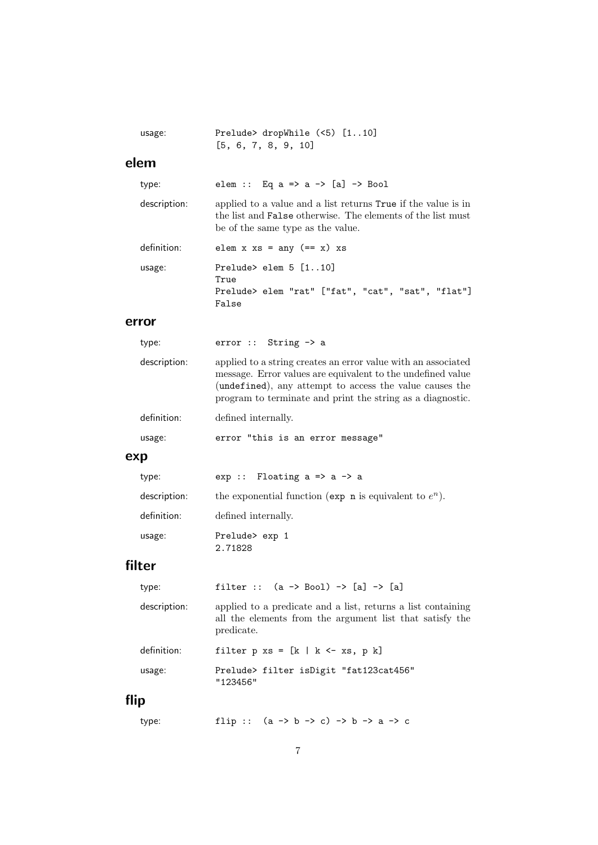| usage:       | Prelude> dropWhile (<5) [110]<br>[5, 6, 7, 8, 9, 10]                                                                                                                                                                                                  |
|--------------|-------------------------------------------------------------------------------------------------------------------------------------------------------------------------------------------------------------------------------------------------------|
| elem         |                                                                                                                                                                                                                                                       |
| type:        | elem :: Eq a => a -> [a] -> Bool                                                                                                                                                                                                                      |
| description: | applied to a value and a list returns True if the value is in<br>the list and False otherwise. The elements of the list must<br>be of the same type as the value.                                                                                     |
| definition:  | elem $x$ $xs = any (=x)$ $xs$                                                                                                                                                                                                                         |
| usage:       | Prelude> elem $5$ $[110]$<br>True<br>Prelude> elem "rat" ["fat", "cat", "sat", "flat"]<br>False                                                                                                                                                       |
| error        |                                                                                                                                                                                                                                                       |
| type:        | $error :: String \rightarrow a$                                                                                                                                                                                                                       |
| description: | applied to a string creates an error value with an associated<br>message. Error values are equivalent to the undefined value<br>(undefined), any attempt to access the value causes the<br>program to terminate and print the string as a diagnostic. |
| definition:  | defined internally.                                                                                                                                                                                                                                   |
| usage:       | error "this is an error message"                                                                                                                                                                                                                      |
| exp          |                                                                                                                                                                                                                                                       |
| type:        | $exp$ :: Floating $a \Rightarrow a \Rightarrow a$                                                                                                                                                                                                     |
| description: | the exponential function (exp n is equivalent to $e^n$ ).                                                                                                                                                                                             |
| definition:  | defined internally.                                                                                                                                                                                                                                   |
| usage:       | Prelude> exp 1<br>2.71828                                                                                                                                                                                                                             |
| filter       |                                                                                                                                                                                                                                                       |
| type:        | filter :: $(a \rightarrow Bool) \rightarrow [a] \rightarrow [a]$                                                                                                                                                                                      |
| description: | applied to a predicate and a list, returns a list containing<br>all the elements from the argument list that satisfy the<br>predicate.                                                                                                                |
| definition:  | filter $p$ xs = $[k \mid k \leq xs, p k]$                                                                                                                                                                                                             |
| usage:       | Prelude> filter isDigit "fat123cat456"<br>"123456"                                                                                                                                                                                                    |
| flip         |                                                                                                                                                                                                                                                       |
| type:        | flip :: $(a \rightarrow b \rightarrow c) \rightarrow b \rightarrow a \rightarrow c$                                                                                                                                                                   |

7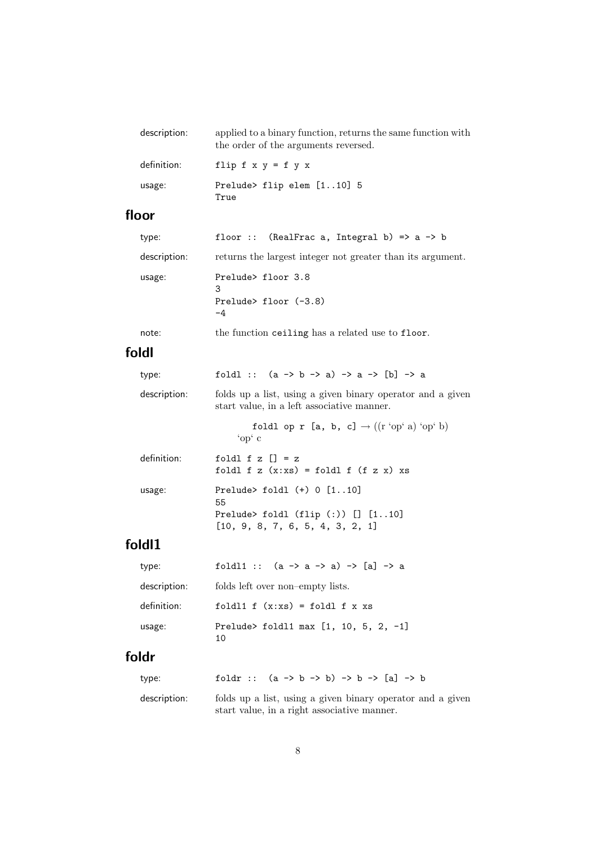| description: | applied to a binary function, returns the same function with<br>the order of the arguments reversed. |
|--------------|------------------------------------------------------------------------------------------------------|
| definition:  | flip $f \times y = f \vee x$                                                                         |
| usage:       | Prelude> flip elem $[110]$ 5<br>True                                                                 |

### floor

| type:        | floor :: (RealFrac a, Integral b) => $a \rightarrow b$     |
|--------------|------------------------------------------------------------|
| description: | returns the largest integer not greater than its argument. |
| usage:       | Prelude> floor 3.8<br>З<br>Prelude> floor $(-3.8)$<br>-4   |
| note:        | the function ceiling has a related use to floor.           |

# foldl

| type:        | foldl :: $(a \rightarrow b \rightarrow a) \rightarrow a \rightarrow [b] \rightarrow a$                             |
|--------------|--------------------------------------------------------------------------------------------------------------------|
| description: | folds up a list, using a given binary operator and a given<br>start value, in a left associative manner.           |
|              | foldl op r [a, b, c] $\rightarrow$ ((r 'op' a) 'op' b)<br>'op $^{\circ}$ c                                         |
| definition:  | foldl f z $\lceil$ = z<br>foldl f $z(x:xs) = foldl$ f $(f z x) xs$                                                 |
| usage:       | Prelude> $fold1 (+) 0 [110]$<br>55<br>Prelude> foldl $(flip$ $(:)$ $[]$ $[110]$<br>[10, 9, 8, 7, 6, 5, 4, 3, 2, 1] |
| 1.111        |                                                                                                                    |

## foldl1

| type:        | foldl1 :: $(a \rightarrow a \rightarrow a) \rightarrow [a] \rightarrow a$ |
|--------------|---------------------------------------------------------------------------|
| description: | folds left over non-empty lists.                                          |
| definition:  | foldl $1 f (x:xs) = fold1 f x xs$                                         |
| usage:       | Prelude> fold11 max $[1, 10, 5, 2, -1]$<br>10                             |

## foldr

| type:        | foldr :: $(a \rightarrow b \rightarrow b) \rightarrow b \rightarrow [a] \rightarrow b$ |
|--------------|----------------------------------------------------------------------------------------|
| description: | folds up a list, using a given binary operator and a given                             |
|              | start value, in a right associative manner.                                            |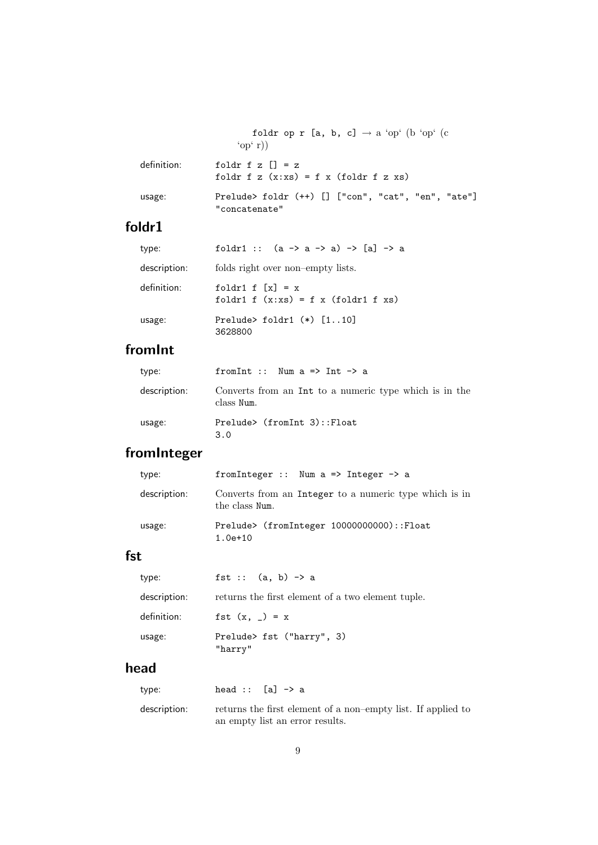foldr op r [a, b, c]  $\rightarrow$  a 'op' (b 'op' (c 'op' r)) definition: foldr  $f z [] = z$ foldr f z  $(x:xs) = f x (foldr f z xs)$ usage: Prelude> foldr (++) [] ["con", "cat", "en", "ate"] "concatenate"

## foldr1

| type:        | foldr1 :: $(a \rightarrow a \rightarrow a) \rightarrow [a] \rightarrow a$ |
|--------------|---------------------------------------------------------------------------|
| description: | folds right over non-empty lists.                                         |
| definition:  | foldr1 f $[x] = x$<br>foldr1 f $(x:xs) = f x$ (foldr1 f xs)               |
| usage:       | Prelude> foldr1 $(*)$ $[110]$<br>3628800                                  |

## fromInt

| type:        | from Int :: Num $a \Rightarrow$ Int $\rightarrow a$                  |
|--------------|----------------------------------------------------------------------|
| description: | Converts from an Int to a numeric type which is in the<br>class Num. |
| usage:       | Prelude> (fromInt 3)::Float<br>3.0                                   |

## fromInteger

| type:        | from Integer :: Num $a \Rightarrow$ Integer $\rightarrow$ a              |
|--------------|--------------------------------------------------------------------------|
| description: | Converts from an Integer to a numeric type which is in<br>the class Num. |
| usage:       | Prelude> (fromInteger 10000000000)::Float<br>$1.0e+10$                   |

### fst

| type:        | fst :: $(a, b) \rightarrow a$                     |
|--------------|---------------------------------------------------|
| description: | returns the first element of a two element tuple. |
| definition:  | fst $(x, ) = x$                                   |
| usage:       | Prelude> fst ("harry", 3)<br>"harry"              |

## head

| type:        | head :: $[a] \rightarrow a$                                  |
|--------------|--------------------------------------------------------------|
| description: | returns the first element of a non-empty list. If applied to |
|              | an empty list an error results.                              |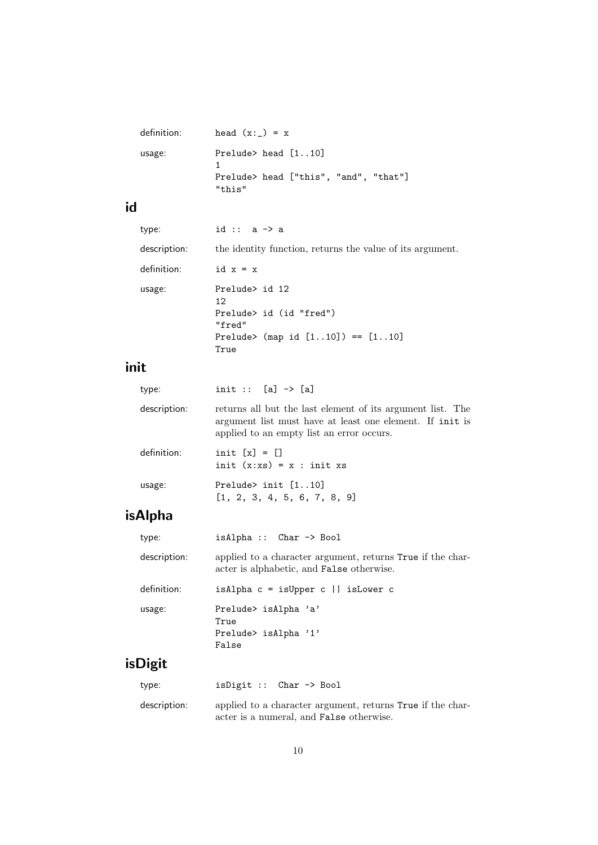| definition: | head $(x:') = x$                                |
|-------------|-------------------------------------------------|
| usage:      | Prelude> head $[110]$                           |
|             | Prelude> head ["this", "and", "that"]<br>"this" |

# id

| type:        | id :: $a \rightarrow a$                                                                                  |
|--------------|----------------------------------------------------------------------------------------------------------|
| description: | the identity function, returns the value of its argument.                                                |
| definition:  | id $x = x$                                                                                               |
| usage:       | Prelude> id 12<br>12.<br>Prelude> id (id "fred")<br>"fred"<br>Prelude> (map id $[110]) == [110]$<br>True |

# init

| type:        | init :: $[a]$ -> $[a]$                                                                                                                                              |
|--------------|---------------------------------------------------------------------------------------------------------------------------------------------------------------------|
| description: | returns all but the last element of its argument list. The<br>argument list must have at least one element. If init is<br>applied to an empty list an error occurs. |
| definition:  | init $[x] = [$<br>init $(x:xs) = x : init xs$                                                                                                                       |
| usage:       | Prelude> init $[110]$<br>[1, 2, 3, 4, 5, 6, 7, 8, 9]                                                                                                                |

# isAlpha

| type:        | $isAlpha :: Char \rightarrow Bool$                                                                             |
|--------------|----------------------------------------------------------------------------------------------------------------|
| description: | applied to a character argument, returns True if the char-<br>acter is alphabetic, and <b>False</b> otherwise. |
| definition:  | isAlpha $c = i$ sUpper $c \mid i$ sLower c                                                                     |
| usage:       | Prelude> isAlpha 'a'<br>True<br>Prelude> isAlpha '1'<br>False                                                  |
| isDigit      |                                                                                                                |

| type:        | isDigit :: $Char \rightarrow Bool$                                                                     |
|--------------|--------------------------------------------------------------------------------------------------------|
| description: | applied to a character argument, returns True if the char-<br>acter is a numeral, and False otherwise. |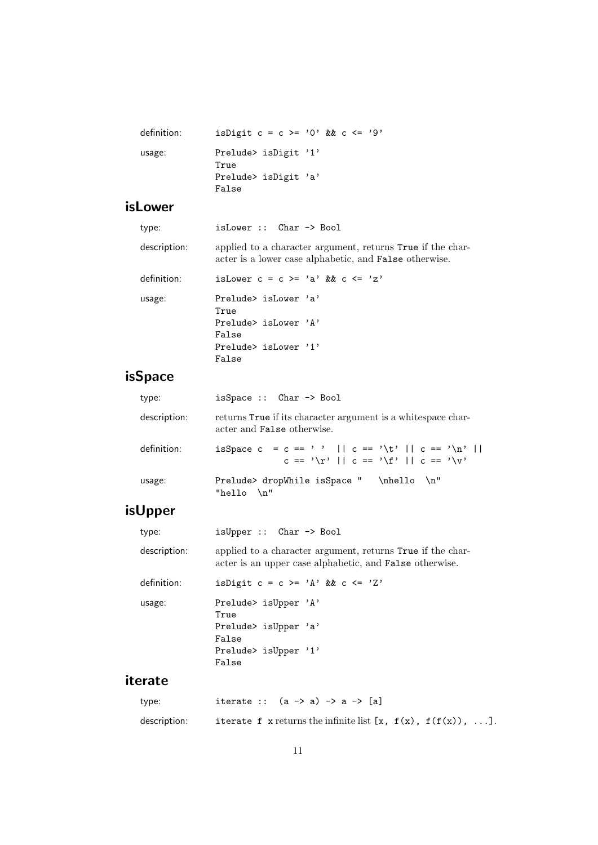| definition: | is Digit $c = c \ge 0$ , & $c \le -19$ , |  |
|-------------|------------------------------------------|--|
| usage:      | Prelude> isDigit '1'<br>True             |  |
|             | Prelude> isDigit 'a'<br>False            |  |

# isLower

| type:        | isLower :: Char -> Bool                                                                                                     |
|--------------|-----------------------------------------------------------------------------------------------------------------------------|
| description: | applied to a character argument, returns True if the char-<br>acter is a lower case alphabetic, and <b>False</b> otherwise. |
| definition:  | is Lower $c = c \ge -a$ & $\& c \le -'z$                                                                                    |
| usage:       | Prelude> isLower 'a'<br>True                                                                                                |
|              | Prelude $\frac{1}{2}$ is Lower $\frac{1}{2}$<br>False                                                                       |
|              | Prelude $\frac{1}{2}$ is Lower $\frac{1}{2}$<br>False                                                                       |
|              |                                                                                                                             |

# isSpace

| type:        | isSpace :: Char -> Bool                                                                               |
|--------------|-------------------------------------------------------------------------------------------------------|
| description: | returns True if its character argument is a white space char-<br>acter and <b>False</b> otherwise.    |
| definition:  | isSpace c = c == ''    c == '\t'    c == '\n'   <br>$c == \iota r'    c == \iota r'    c == \iota r'$ |
| usage:       | Prelude> dropWhile isSpace "<br>$\hbar$ ello $\hbar$ "<br>"hello $\ln$ "                              |

# isUpper

| type:        | $isUpper :: Char \rightarrow Bool$                                                                                    |
|--------------|-----------------------------------------------------------------------------------------------------------------------|
| description: | applied to a character argument, returns True if the char-<br>acter is an upper case alphabetic, and False otherwise. |
| definition:  | is Digit $c = c \ge -1$ 'A' & & c <= 'Z'                                                                              |
| usage:       | Prelude> isUpper 'A'<br>True                                                                                          |
|              | Prelude> isUpper 'a'<br>False                                                                                         |
|              | Prelude> isUpper '1'<br>False                                                                                         |
| iterate      |                                                                                                                       |

| type:        | iterate :: $(a \rightarrow a) \rightarrow a \rightarrow [a]$         |
|--------------|----------------------------------------------------------------------|
| description: | iterate f x returns the infinite list $[x, f(x), f(f(x)), \ldots]$ . |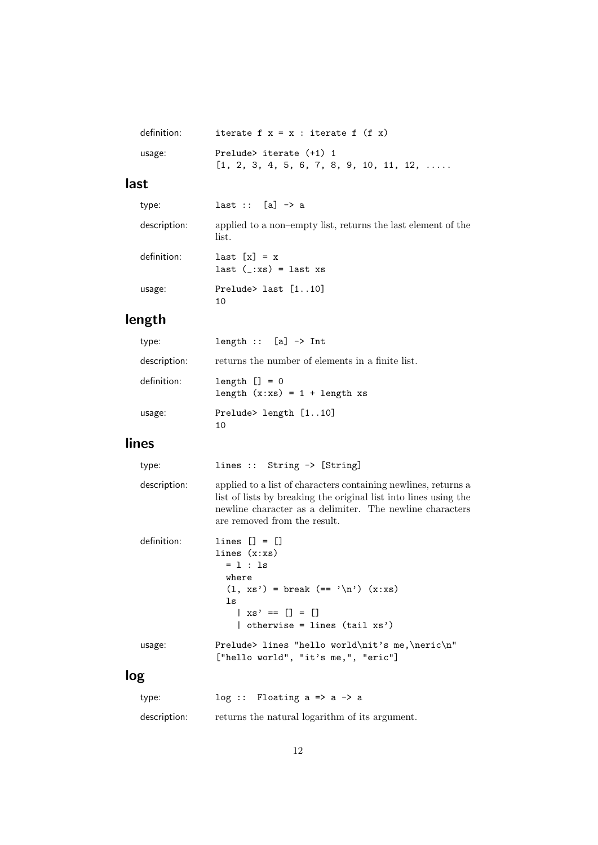| definition: | iterate $f x = x : iterate f (f x)$               |
|-------------|---------------------------------------------------|
| usage:      | Prelude> iterate (+1) 1                           |
|             | $[1, 2, 3, 4, 5, 6, 7, 8, 9, 10, 11, 12, \ldots]$ |

## last

| type:        | last :: $[a] \rightarrow a$                                           |
|--------------|-----------------------------------------------------------------------|
| description: | applied to a non-empty list, returns the last element of the<br>list. |
| definition:  | $last [x] = x$<br>$last (-xs) = last xs$                              |
| usage:       | Prelude> last $[110]$<br>10                                           |

# length

| type:        | length :: $[a] \rightarrow Int$                     |
|--------------|-----------------------------------------------------|
| description: | returns the number of elements in a finite list.    |
| definition:  | $length$ $] = 0$<br>length $(x:xs) = 1 + length xs$ |
| usage:       | Prelude> length [110]<br>10                         |

## lines

| type:        | lines :: String $\rightarrow$ [String]                                                                                                                                                                                         |
|--------------|--------------------------------------------------------------------------------------------------------------------------------------------------------------------------------------------------------------------------------|
| description: | applied to a list of characters containing newlines, returns a<br>list of lists by breaking the original list into lines using the<br>newline character as a delimiter. The newline characters<br>are removed from the result. |
| definition:  | lines $[1 = 1]$<br>lines $(x:xs)$<br>$= 1 : 1s$<br>where<br>$(1, xs')$ = break $(== '\n') (x:xs)$<br>ls<br>$\vert$ xs' == $\vert$ ] = $\vert$ ]<br>  otherwise = lines (tail $xs'$ )                                           |
| usage:       | Prelude> lines "hello world\nit's me,\neric\n"<br>["hello world", "it's me,", "eric"]                                                                                                                                          |
|              |                                                                                                                                                                                                                                |

# log

| type:        | $log :$ Floating a => a -> a                   |
|--------------|------------------------------------------------|
| description: | returns the natural logarithm of its argument. |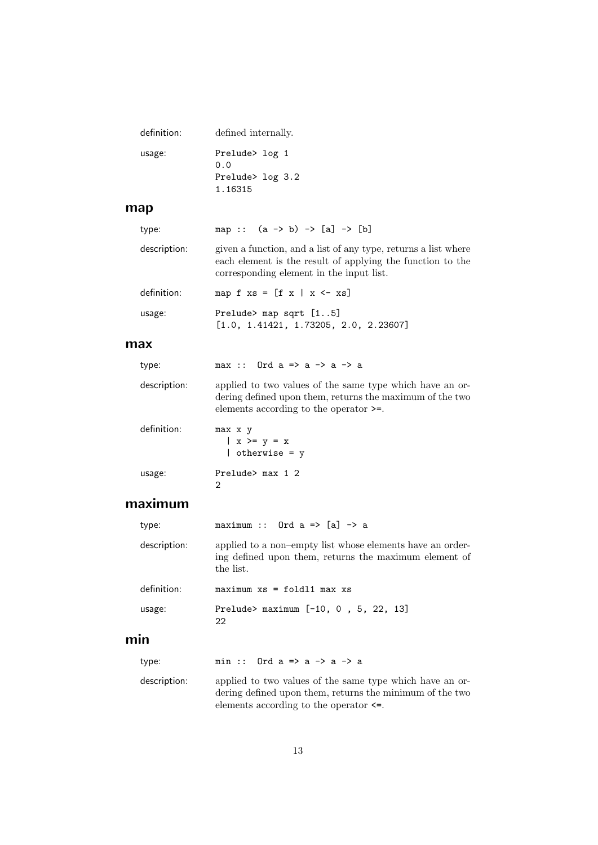| definition: | defined internally.   |
|-------------|-----------------------|
| usage:      | Prelude> log 1<br>0.0 |
|             | Prelude> log 3.2      |
|             | 1.16315               |

### map

| type:        | map :: $(a \rightarrow b) \rightarrow [a] \rightarrow [b]$                                                                                                               |
|--------------|--------------------------------------------------------------------------------------------------------------------------------------------------------------------------|
| description: | given a function, and a list of any type, returns a list where<br>each element is the result of applying the function to the<br>corresponding element in the input list. |
| definition:  | map f $xs = [f x   x \leftarrow xs]$                                                                                                                                     |
| usage:       | Prelude> map sqrt $[15]$<br>[1.0, 1.41421, 1.73205, 2.0, 2.23607]                                                                                                        |
| ,,,,         |                                                                                                                                                                          |

#### max

| type:        | max :: Ord a => a -> a -> a                                                                                                                                       |
|--------------|-------------------------------------------------------------------------------------------------------------------------------------------------------------------|
| description: | applied to two values of the same type which have an or-<br>dering defined upon them, returns the maximum of the two<br>elements according to the operator $>=$ . |
| definition:  | max x y<br>$\vert x \rangle = y = x$<br>$\vert$ otherwise = y                                                                                                     |
| usage:       | Prelude> max 1 2                                                                                                                                                  |

### maximum

2

| type:        | maximum :: Ord $a \Rightarrow [a] \rightarrow a$                                                                                |
|--------------|---------------------------------------------------------------------------------------------------------------------------------|
| description: | applied to a non-empty list whose elements have an order-<br>ing defined upon them, returns the maximum element of<br>the list. |
| definition:  | $maximum xs = fold11 max xs$                                                                                                    |
| usage:       | Prelude> maximum $[-10, 0, 5, 22, 13]$<br>22                                                                                    |
| min          |                                                                                                                                 |
| type:        | min :: Ord $a \Rightarrow a \Rightarrow a \Rightarrow a$                                                                        |

description: applied to two values of the same type which have an ordering defined upon them, returns the minimum of the two elements according to the operator <=.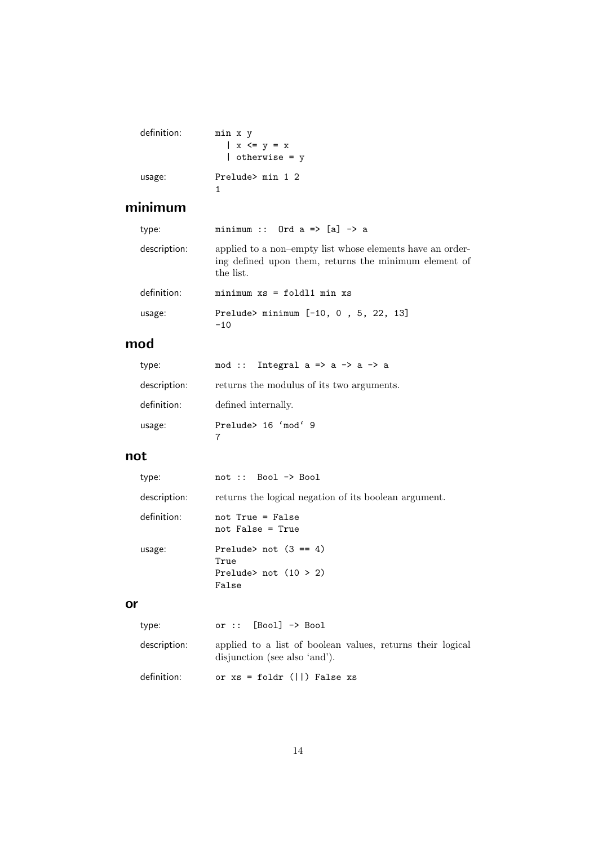| definition: | min x y<br>$\vert$ x $\langle$ = y = x<br>$\vert$ otherwise = y |
|-------------|-----------------------------------------------------------------|
| usage:      | Prelude> min 1 2                                                |

# minimum

| type:        | minimum :: Ord $a \Rightarrow [a] \rightarrow a$                                                                                |
|--------------|---------------------------------------------------------------------------------------------------------------------------------|
| description: | applied to a non-empty list whose elements have an order-<br>ing defined upon them, returns the minimum element of<br>the list. |
| definition:  | $minimum xs = fold1 min xs$                                                                                                     |
| usage:       | Prelude> minimum $[-10, 0, 5, 22, 13]$<br>$-10$                                                                                 |

## mod

| type:        | mod :: Integral $a \Rightarrow a \Rightarrow a \Rightarrow a$ |
|--------------|---------------------------------------------------------------|
| description: | returns the modulus of its two arguments.                     |
| definition:  | defined internally.                                           |
| usage:       | Prelude> 16 'mod' 9                                           |

### not

| type:        | $not :: Book \rightarrow Bool$                                      |
|--------------|---------------------------------------------------------------------|
| description: | returns the logical negation of its boolean argument.               |
| definition:  | not True = False<br>not False = True                                |
| usage:       | Prelude> not $(3 == 4)$<br>True<br>Prelude> not $(10 > 2)$<br>False |

### or

| type:        | or $::$ [Bool] $\rightarrow$ Bool                                                           |
|--------------|---------------------------------------------------------------------------------------------|
| description: | applied to a list of boolean values, returns their logical<br>disjunction (see also 'and'). |
| definition:  | or $xs = foldr$ ( $  ) False xs$                                                            |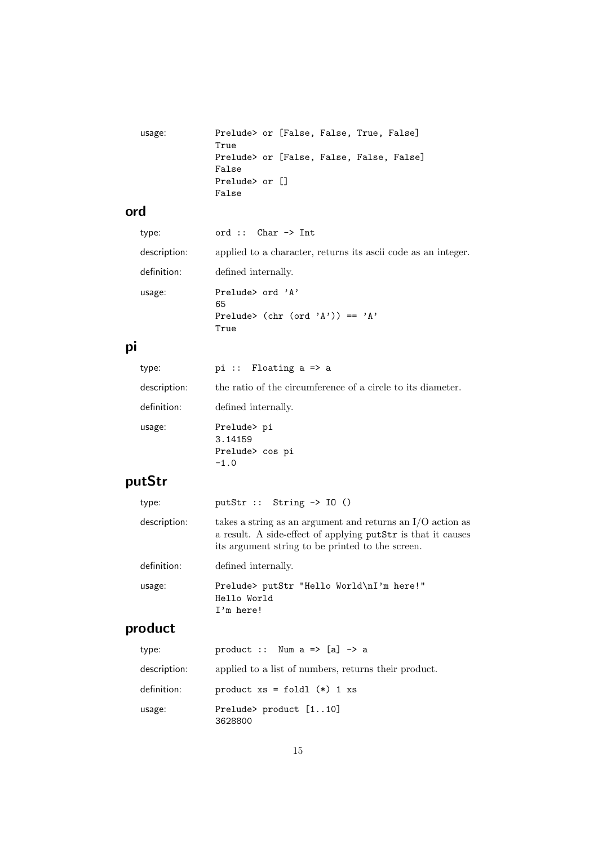```
usage: Prelude> or [False, False, True, False]
             True
             Prelude> or [False, False, False, False]
             False
             Prelude> or []
             False
```
### ord

| type:        | ord :: $Char \rightarrow Int$                                     |
|--------------|-------------------------------------------------------------------|
| description: | applied to a character, returns its ascii code as an integer.     |
| definition:  | defined internally.                                               |
| usage:       | Prelude> ord 'A'<br>65<br>Prelude> (chr (ord 'A')) == 'A'<br>True |

## pi

| type:        | pi :: Floating a => a                                       |
|--------------|-------------------------------------------------------------|
| description: | the ratio of the circumference of a circle to its diameter. |
| definition:  | defined internally.                                         |
| usage:       | Prelude> pi<br>3.14159<br>Prelude> cos pi<br>$-1.0$         |

# putStr

| type:        | putStr :: String $\rightarrow$ 10 ()                                                                                                                                             |
|--------------|----------------------------------------------------------------------------------------------------------------------------------------------------------------------------------|
| description: | takes a string as an argument and returns an $I/O$ action as<br>a result. A side-effect of applying putStr is that it causes<br>its argument string to be printed to the screen. |
| definition:  | defined internally.                                                                                                                                                              |
| usage:       | Prelude> putStr "Hello World\nI'm here!"<br>Hello World<br>$I'm$ here!                                                                                                           |
| ~~~+         |                                                                                                                                                                                  |

#### product

| type:        | product :: Num $a \Rightarrow [a] \rightarrow a$     |
|--------------|------------------------------------------------------|
| description: | applied to a list of numbers, returns their product. |
| definition:  | product $xs = fold1$ (*) 1 $xs$                      |
| usage:       | Prelude> product [110]<br>3628800                    |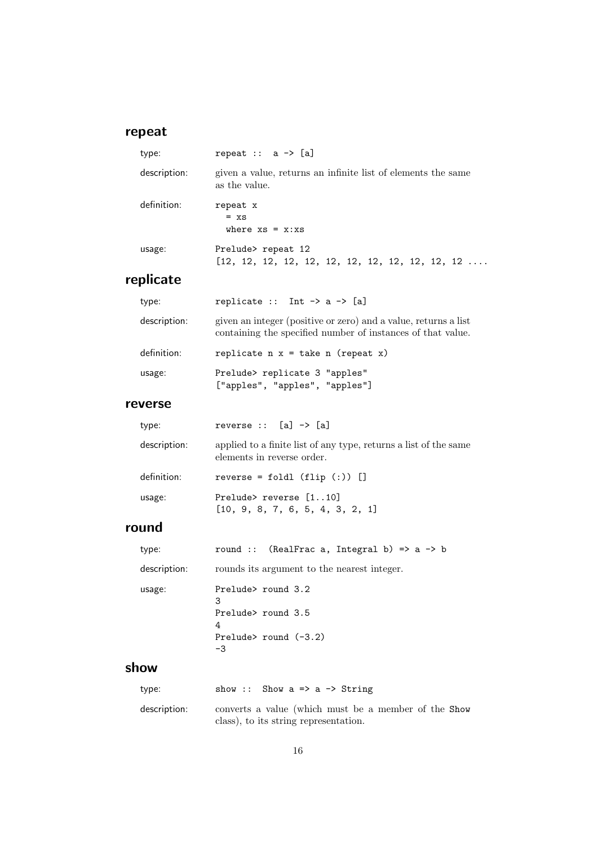# repeat

| type:        | repeat $: a \rightarrow [a]$                                                  |
|--------------|-------------------------------------------------------------------------------|
| description: | given a value, returns an infinite list of elements the same<br>as the value. |
| definition:  | repeat x<br>$= xs$<br>where $xs = x:xs$                                       |
| usage:       | Prelude> repeat 12                                                            |

# replicate

| type:        | replicate :: Int $\rightarrow$ a $\rightarrow$ [a]                                                                             |
|--------------|--------------------------------------------------------------------------------------------------------------------------------|
| description: | given an integer (positive or zero) and a value, returns a list<br>containing the specified number of instances of that value. |
| definition:  | replicate $n \times z =$ take n (repeat x)                                                                                     |
| usage:       | Prelude> replicate 3 "apples"<br>["apples", "apples", "apples"]                                                                |
| 110KCM       |                                                                                                                                |

#### reverse

| type:        | reverse $::$ [a] $\rightarrow$ [a]                                                             |
|--------------|------------------------------------------------------------------------------------------------|
| description: | applied to a finite list of any type, returns a list of the same<br>elements in reverse order. |
| definition:  | reverse = foldl $(flip (:) )$ $[]$                                                             |
| usage:       | Prelude> reverse [110]<br>[10, 9, 8, 7, 6, 5, 4, 3, 2, 1]                                      |

## round

| type:        | round :: (RealFrac a, Integral b) => $a \rightarrow b$ |
|--------------|--------------------------------------------------------|
| description: | rounds its argument to the nearest integer.            |
| usage:       | Prelude> round 3.2<br>3                                |
|              | Prelude> round 3.5<br>4                                |
|              | Prelude> round $(-3.2)$<br>-3                          |
|              |                                                        |

## show

| type:        | show: Show a => a -> String                                                                   |
|--------------|-----------------------------------------------------------------------------------------------|
| description: | converts a value (which must be a member of the Show<br>class), to its string representation. |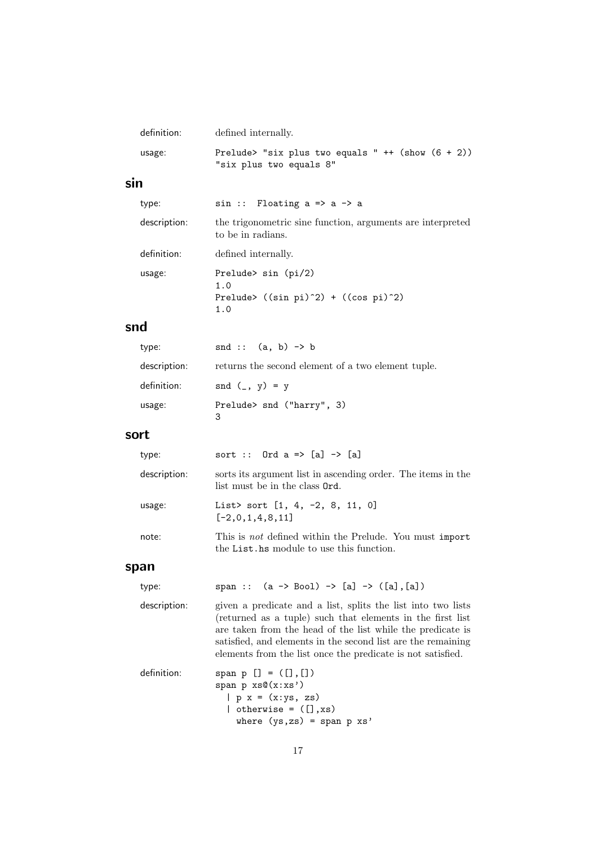| definition:  | defined internally.                                                                                                                                                                                                                                                                                                     |
|--------------|-------------------------------------------------------------------------------------------------------------------------------------------------------------------------------------------------------------------------------------------------------------------------------------------------------------------------|
| usage:       | Prelude> "six plus two equals " ++ (show $(6 + 2)$ )<br>"six plus two equals 8"                                                                                                                                                                                                                                         |
| sin          |                                                                                                                                                                                                                                                                                                                         |
| type:        | $sin ::$ Floating $a \Rightarrow a \Rightarrow a$                                                                                                                                                                                                                                                                       |
| description: | the trigonometric sine function, arguments are interpreted<br>to be in radians.                                                                                                                                                                                                                                         |
| definition:  | defined internally.                                                                                                                                                                                                                                                                                                     |
| usage:       | Prelude> sin (pi/2)<br>1.0<br>Prelude> $((sin pi)^2) + ((cos pi)^2)$<br>1.0                                                                                                                                                                                                                                             |
| snd          |                                                                                                                                                                                                                                                                                                                         |
| type:        | snd :: $(a, b) \rightarrow b$                                                                                                                                                                                                                                                                                           |
| description: | returns the second element of a two element tuple.                                                                                                                                                                                                                                                                      |
| definition:  | $\text{snd } (\_, y) = y$                                                                                                                                                                                                                                                                                               |
| usage:       | Prelude> snd ("harry", 3)<br>3                                                                                                                                                                                                                                                                                          |
| sort         |                                                                                                                                                                                                                                                                                                                         |
| type:        | sort :: Ord $a \Rightarrow [a] \rightarrow [a]$                                                                                                                                                                                                                                                                         |
| description: | sorts its argument list in ascending order. The items in the<br>list must be in the class Ord.                                                                                                                                                                                                                          |
| usage:       | List> sort $[1, 4, -2, 8, 11, 0]$<br>$[-2,0,1,4,8,11]$                                                                                                                                                                                                                                                                  |
| note:        | This is not defined within the Prelude. You must import<br>the List hs module to use this function.                                                                                                                                                                                                                     |
| span         |                                                                                                                                                                                                                                                                                                                         |
| type:        | span :: $(a \rightarrow Bool) \rightarrow [a] \rightarrow ([a], [a])$                                                                                                                                                                                                                                                   |
| description: | given a predicate and a list, splits the list into two lists<br>(returned as a tuple) such that elements in the first list<br>are taken from the head of the list while the predicate is<br>satisfied, and elements in the second list are the remaining<br>elements from the list once the predicate is not satisfied. |
| definition:  | span $p$ $[] = ([], []$<br>span $p$ $xs@(x:xs')$<br>$  p x = (x:ys, zs)$                                                                                                                                                                                                                                                |

17

where (ys,zs) = span p xs'

| otherwise =  $([], xs)$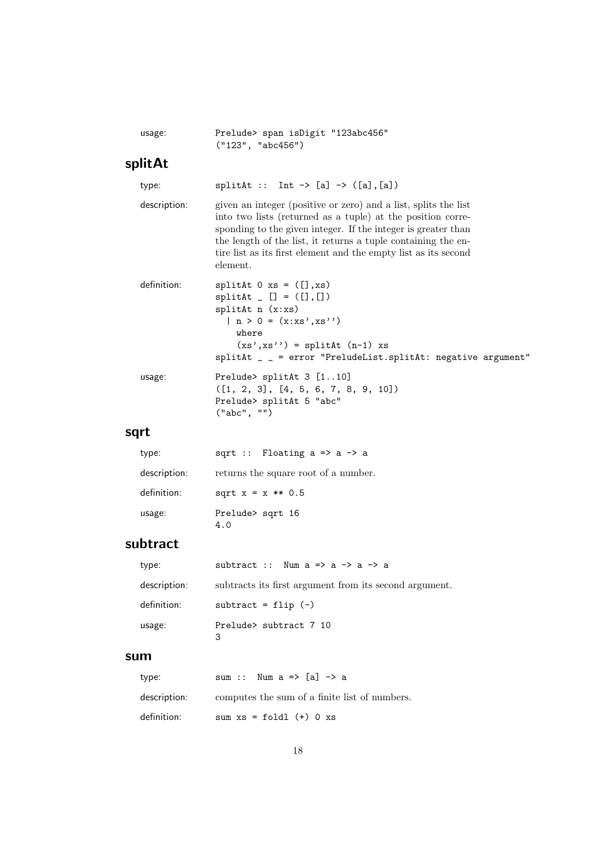| usage: |                   |  | Prelude> span isDigit "123abc456" |
|--------|-------------------|--|-----------------------------------|
|        | ('123". 'abc456") |  |                                   |

### splitAt

type: splitAt :: Int  $\rightarrow$  [a]  $\rightarrow$  ([a],[a]) description: given an integer (positive or zero) and a list, splits the list into two lists (returned as a tuple) at the position corresponding to the given integer. If the integer is greater than the length of the list, it returns a tuple containing the entire list as its first element and the empty list as its second element. definition: splitAt 0 xs = ([], xs)  $splitAt \_ [] = ([], [])$ splitAt n (x:xs) |  $n > 0 = (x : xs', xs'')$ where  $(xs',xs'') = splitAt (n-1) xs$ splitAt \_ \_ = error "PreludeList.splitAt: negative argument" usage: Prelude> splitAt 3 [1..10] ([1, 2, 3], [4, 5, 6, 7, 8, 9, 10])

#### sqrt

| type:        | sqrt :: Floating $a \Rightarrow a \Rightarrow a$ |
|--------------|--------------------------------------------------|
| description: | returns the square root of a number.             |
| definition:  | sqrt $x = x ** 0.5$                              |
| usage:       | Prelude> sqrt 16<br>4.0                          |

("abc", "")

Prelude> splitAt 5 "abc"

### subtract

| type:        | subtract :: Num $a \Rightarrow a \Rightarrow a \Rightarrow a$ |
|--------------|---------------------------------------------------------------|
| description: | subtracts its first argument from its second argument.        |
| definition:  | subtract = $flip$ $(-)$                                       |
| usage:       | Prelude> subtract 7 10<br>3                                   |

#### sum

| type:        | sum :: Num $a \Rightarrow [a] \Rightarrow a$  |
|--------------|-----------------------------------------------|
| description: | computes the sum of a finite list of numbers. |
| definition:  | sum $xs = fold1$ (+) 0 $xs$                   |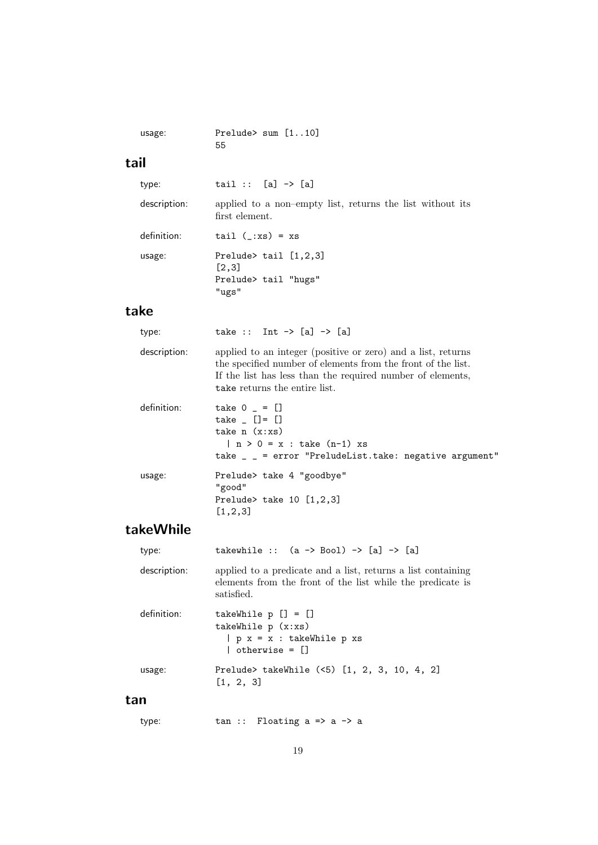```
usage: Prelude> sum [1..10]
           55
```
## tail

| type:        | $tail :: [a] \rightarrow [a]$                                               |
|--------------|-----------------------------------------------------------------------------|
| description: | applied to a non-empty list, returns the list without its<br>first element. |
| definition:  | tail $(\_\cdot x s) = x s$                                                  |
| usage:       | Prelude> tail $[1,2,3]$<br>[2,3]                                            |
|              | Prelude> tail "hugs"<br>"ugs"                                               |
| ke           |                                                                             |

#### take

| type:        | take :: Int $\rightarrow$ [a] $\rightarrow$ [a]                                                                                                                                                                             |
|--------------|-----------------------------------------------------------------------------------------------------------------------------------------------------------------------------------------------------------------------------|
| description: | applied to an integer (positive or zero) and a list, returns<br>the specified number of elements from the front of the list.<br>If the list has less than the required number of elements,<br>take returns the entire list. |
| definition:  | take $0 - 1$<br>take $[$ $[$ $] = [$ $]$<br>take $n(x:xs)$<br>$n > 0 = x : take (n-1) xs$<br>take $\angle$ = error "PreludeList.take: negative argument"                                                                    |
| usage:       | Prelude> take 4 "goodbye"<br>"good"<br>Prelude> take $10$ [1,2,3]<br>[1, 2, 3]                                                                                                                                              |

## takeWhile

| type:        | takewhile :: $(a \rightarrow Bool) \rightarrow [a] \rightarrow [a]$                                                                      |
|--------------|------------------------------------------------------------------------------------------------------------------------------------------|
| description: | applied to a predicate and a list, returns a list containing<br>elements from the front of the list while the predicate is<br>satisfied. |
| definition:  | takeWhile $p$ $[] = []$<br>takeWhile $p(x:xs)$<br>$  p x = x : takeWhile p xs$<br>$\vert$ otherwise = $\vert \vert$                      |
| usage:       | Prelude> takeWhile (<5) [1, 2, 3, 10, 4, 2]<br>[1, 2, 3]                                                                                 |
|              |                                                                                                                                          |

type: tan :: Floating a => a -> a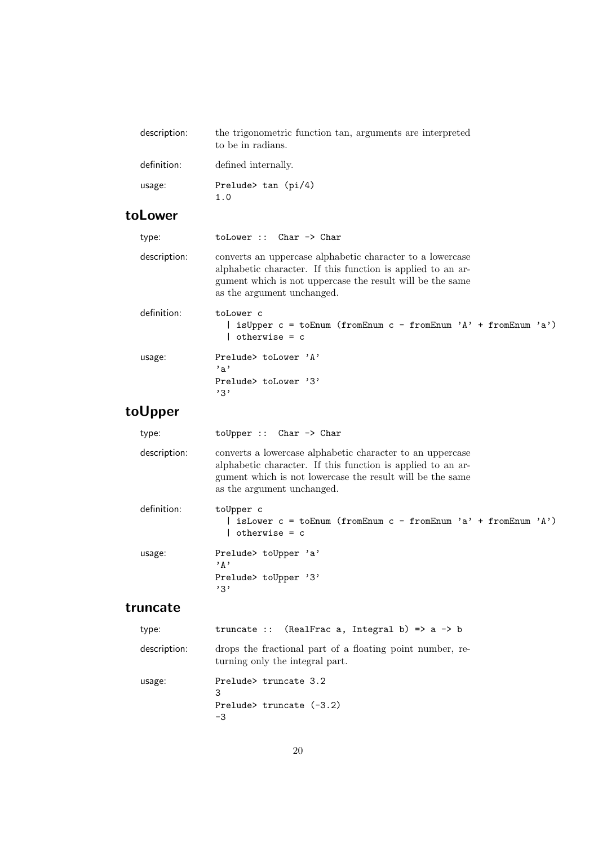| description: | the trigonometric function tan, arguments are interpreted<br>to be in radians. |
|--------------|--------------------------------------------------------------------------------|
| definition:  | defined internally.                                                            |
| usage:       | Prelude $\tan$ (pi/4)<br>1.0                                                   |

## toLower

| type:        | $tolower :: Char \rightarrow Char$                                                                                                                                                                                  |
|--------------|---------------------------------------------------------------------------------------------------------------------------------------------------------------------------------------------------------------------|
| description: | converts an uppercase alphabetic character to a lowercase<br>alphabetic character. If this function is applied to an ar-<br>gument which is not uppercase the result will be the same<br>as the argument unchanged. |
| definition:  | toLower c<br>  isUpper $c = \text{toEnum (fromEnum } c - \text{fromEnum } 'A' + \text{fromEnum } 'a')$<br>  otherwise = c                                                                                           |
| usage:       | Prelude> toLower 'A'<br>, a<br>Prelude $\to$ to Lower $\,$ 2.<br>, 3, 7                                                                                                                                             |
| <b>Upper</b> |                                                                                                                                                                                                                     |

### to

| type:        | $toUpper :: Char \rightarrow Char$                                                                                                                                                                                  |
|--------------|---------------------------------------------------------------------------------------------------------------------------------------------------------------------------------------------------------------------|
| description: | converts a lowercase alphabetic character to an uppercase<br>alphabetic character. If this function is applied to an ar-<br>gument which is not lowercase the result will be the same<br>as the argument unchanged. |
| definition:  | toUpper c<br>is Lower $c = \text{toEnum}$ (from Enum $c - \text{from Enum}$ 'a' + from Enum 'A')<br>otherwise = c                                                                                                   |
| usage:       | Prelude> toUpper 'a'<br>י ג י<br>Prelude> toUpper '3'<br>, 3, 3                                                                                                                                                     |

### truncate

| type:        | truncate :: (RealFrac a, Integral b) => $a \rightarrow b$                                    |
|--------------|----------------------------------------------------------------------------------------------|
| description: | drops the fractional part of a floating point number, re-<br>turning only the integral part. |
| usage:       | Prelude> truncate 3.2<br>3<br>Prelude> truncate $(-3.2)$<br>-3                               |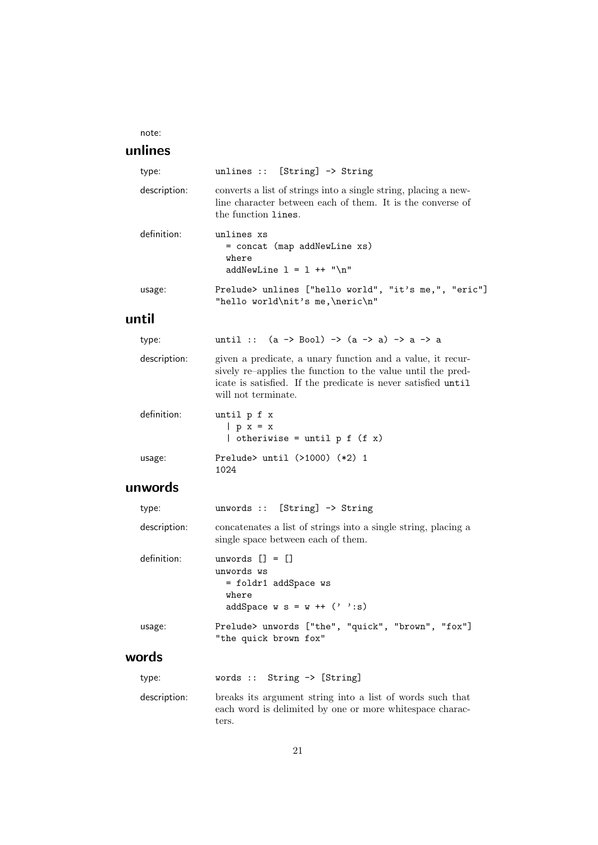note:

### unlines

| type:        | unlines :: $[String] \rightarrow String$                                                                                                                                                                          |
|--------------|-------------------------------------------------------------------------------------------------------------------------------------------------------------------------------------------------------------------|
| description: | converts a list of strings into a single string, placing a new-<br>line character between each of them. It is the converse of<br>the function lines.                                                              |
| definition:  | unlines xs<br>= concat (map addNewLine xs)<br>where<br>addNewLine $1 = 1$ ++ "\n"                                                                                                                                 |
| usage:       | Prelude> unlines ["hello world", "it's me,", "eric"]<br>"hello world\nit's me,\neric\n"                                                                                                                           |
| until        |                                                                                                                                                                                                                   |
| type:        | until :: $(a \rightarrow Bool) \rightarrow (a \rightarrow a) \rightarrow a \rightarrow a$                                                                                                                         |
| description: | given a predicate, a unary function and a value, it recur-<br>sively re-applies the function to the value until the pred-<br>icate is satisfied. If the predicate is never satisfied until<br>will not terminate. |
| definition:  | until p f x<br>$ p x = x$<br>  otheriwise = until $p f (f x)$                                                                                                                                                     |
| usage:       | Prelude> until $(>1000)$ $(*2)$ 1<br>1024                                                                                                                                                                         |
| unwords      |                                                                                                                                                                                                                   |
| type:        | unwords :: [String] $\rightarrow$ String                                                                                                                                                                          |
| description: | concatenates a list of strings into a single string, placing a<br>single space between each of them.                                                                                                              |
| definition:  | unwords $\lceil \rceil = \lceil \rceil$<br>unwords ws<br>= foldr1 addSpace ws<br>where<br>addSpace $w s = w ++ (' '': s)$                                                                                         |
| usage:       | Prelude> unwords ["the", "quick", "brown", "fox"]<br>"the quick brown fox"                                                                                                                                        |
| words        |                                                                                                                                                                                                                   |
| type:        | String -> [String]<br>words ::                                                                                                                                                                                    |
| description: | breaks its argument string into a list of words such that<br>each word is delimited by one or more white space charac-<br>ters.                                                                                   |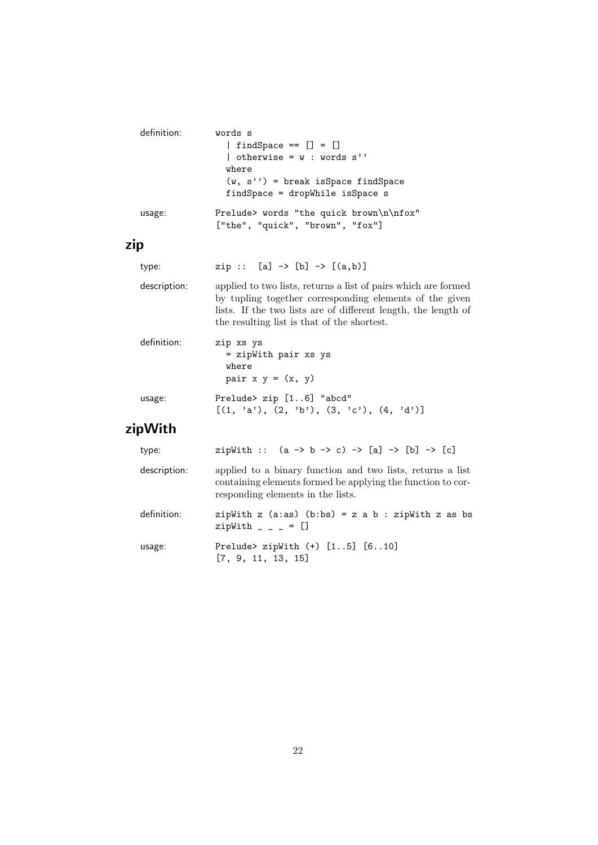| definition:  | words s<br>$\left[$ findSpace == $\left[ \right]$ = $\left[ \right]$<br>  otherwise = $w : words s'$<br>where<br>$(w, s'')$ = break is Space find Space<br>findSpace = dropWhile isSpace s                                                 |
|--------------|--------------------------------------------------------------------------------------------------------------------------------------------------------------------------------------------------------------------------------------------|
| usage:       | Prelude> words "the quick brown\n\nfox"<br>["the", "quick", "brown", "fox"]                                                                                                                                                                |
| zip          |                                                                                                                                                                                                                                            |
| type:        | $zip :: [a] \rightarrow [b] \rightarrow [(a,b)]$                                                                                                                                                                                           |
| description: | applied to two lists, returns a list of pairs which are formed<br>by tupling together corresponding elements of the given<br>lists. If the two lists are of different length, the length of<br>the resulting list is that of the shortest. |
| definition:  | zip xs ys<br>= zipWith pair xs ys<br>where<br>pair $x y = (x, y)$                                                                                                                                                                          |
| usage:       | Prelude> zip [16] "abcd"<br>$[(1, 'a'), (2, 'b'), (3, 'c'), (4, 'd')]$                                                                                                                                                                     |

# zipWith

| type:        | zipWith :: $(a \rightarrow b \rightarrow c) \rightarrow [a] \rightarrow [b] \rightarrow [c]$                                                                   |
|--------------|----------------------------------------------------------------------------------------------------------------------------------------------------------------|
| description: | applied to a binary function and two lists, returns a list<br>containing elements formed be applying the function to cor-<br>responding elements in the lists. |
| definition:  | zipWith z $(a:as)$ $(b:bs) = z a b : zipWith z as bs$<br>zipWith $- - = []$                                                                                    |
| usage:       | Prelude> zipWith $(+)$ [15] [610]<br>[7, 9, 11, 13, 15]                                                                                                        |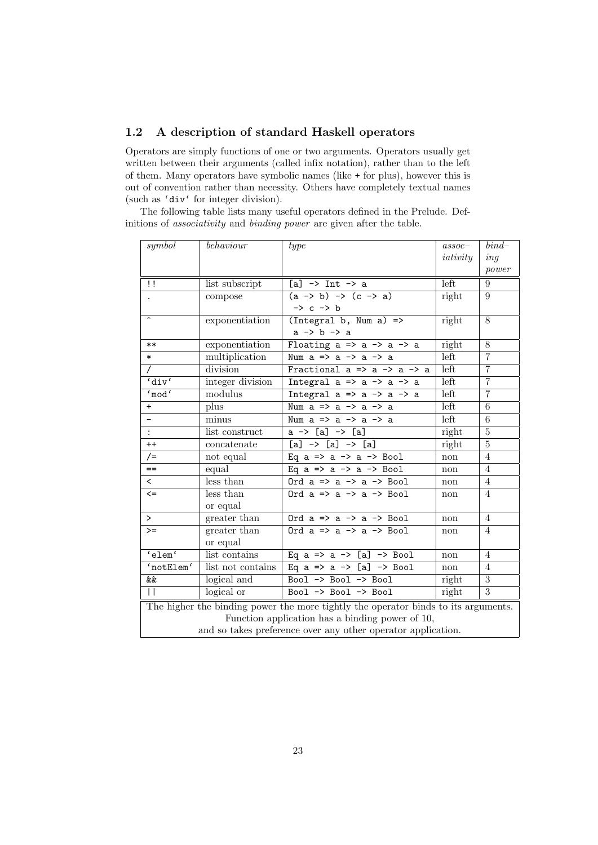#### 1.2 A description of standard Haskell operators

Operators are simply functions of one or two arguments. Operators usually get written between their arguments (called infix notation), rather than to the left of them. Many operators have symbolic names (like + for plus), however this is out of convention rather than necessity. Others have completely textual names (such as 'div' for integer division).

The following table lists many useful operators defined in the Prelude. Definitions of associativity and binding power are given after the table.

| symbol                                                                             | behaviour         | type                                                     | $assoc-$ | $bind-$          |
|------------------------------------------------------------------------------------|-------------------|----------------------------------------------------------|----------|------------------|
|                                                                                    |                   |                                                          | iativity | ing              |
|                                                                                    |                   |                                                          |          | power            |
| $\mathbf{1}$                                                                       | list subscript    | $[a]$ $\rightarrow$ Int $\rightarrow$ a                  | left     | 9                |
|                                                                                    | compose           | $(a \rightarrow b) \rightarrow (c \rightarrow a)$        | right    | 9                |
|                                                                                    |                   | $\rightarrow$ c $\rightarrow$ b                          |          |                  |
|                                                                                    | exponentiation    | $(Integral b, Num a)$ =>                                 | right    | 8                |
|                                                                                    |                   | $a \rightarrow b \rightarrow a$                          |          |                  |
| $***$                                                                              | exponentiation    | Floating $a \Rightarrow a \Rightarrow a \Rightarrow a$   | right    | 8                |
| $\ast$                                                                             | multiplication    | Num $a \Rightarrow a \Rightarrow a \Rightarrow a$        | left     | $\overline{7}$   |
| $\prime$                                                                           | division          | Fractional $a \Rightarrow a \Rightarrow a \Rightarrow a$ | left     | $\overline{7}$   |
| 'div'                                                                              | integer division  | Integral $a \Rightarrow a \Rightarrow a \Rightarrow a$   | left     | $\overline{7}$   |
| 'mod'                                                                              | modulus           | Integral $a \Rightarrow a \Rightarrow a \Rightarrow a$   | left     | $\overline{7}$   |
| $+$                                                                                | plus              | Num $a \Rightarrow a \Rightarrow a \Rightarrow a$        | left     | 6                |
|                                                                                    | minus             | Num $a \Rightarrow a \Rightarrow a \Rightarrow a$        | left     | 6                |
| $\ddot{\cdot}$                                                                     | list construct    | $a \rightarrow [a] \rightarrow [a]$                      | right    | 5                |
| $++$                                                                               | concatenate       | $[a]$ -> $[a]$ -> $[a]$                                  | right    | 5                |
| $/$ =                                                                              | not equal         | Eq $a \Rightarrow a \Rightarrow a \Rightarrow$ Bool      | non      | $\overline{4}$   |
| $=$                                                                                | equal             | Eq $a \Rightarrow a \Rightarrow a \Rightarrow$ Bool      | non      | $\overline{4}$   |
| $\overline{\phantom{0}}$                                                           | less than         | Ord $a \Rightarrow a \Rightarrow a \Rightarrow$ Bool     | non      | $\overline{4}$   |
| $\leq$                                                                             | less than         | Ord $a \Rightarrow a \Rightarrow a \Rightarrow$ Bool     | non      | $\overline{4}$   |
|                                                                                    | or equal          |                                                          |          |                  |
| $\geq$                                                                             | greater than      | Ord $a \Rightarrow a \Rightarrow a \Rightarrow$ Bool     | non      | $\overline{4}$   |
| $>=$                                                                               | greater than      | Ord $a \Rightarrow a \Rightarrow a \Rightarrow$ Bool     | non      | $\overline{4}$   |
|                                                                                    | or equal          |                                                          |          |                  |
| 'elem'                                                                             | list contains     | Eq $a \Rightarrow a \Rightarrow [a] \Rightarrow$ Bool    | non      | $\overline{4}$   |
| 'notElem'                                                                          | list not contains | Eq a => a -> [a] -> Bool                                 | non      | $\overline{4}$   |
| &&                                                                                 | logical and       | Bool -> Bool -> Bool                                     | right    | $\boldsymbol{3}$ |
| $\mathsf{H}$                                                                       | $logical$ or      | Bool -> Bool -> Bool                                     | right    | 3                |
| The higher the binding power the more tightly the operator binds to its arguments. |                   |                                                          |          |                  |
|                                                                                    |                   | Function application has a binding power of 10,          |          |                  |
| and so takes preference over any other operator application.                       |                   |                                                          |          |                  |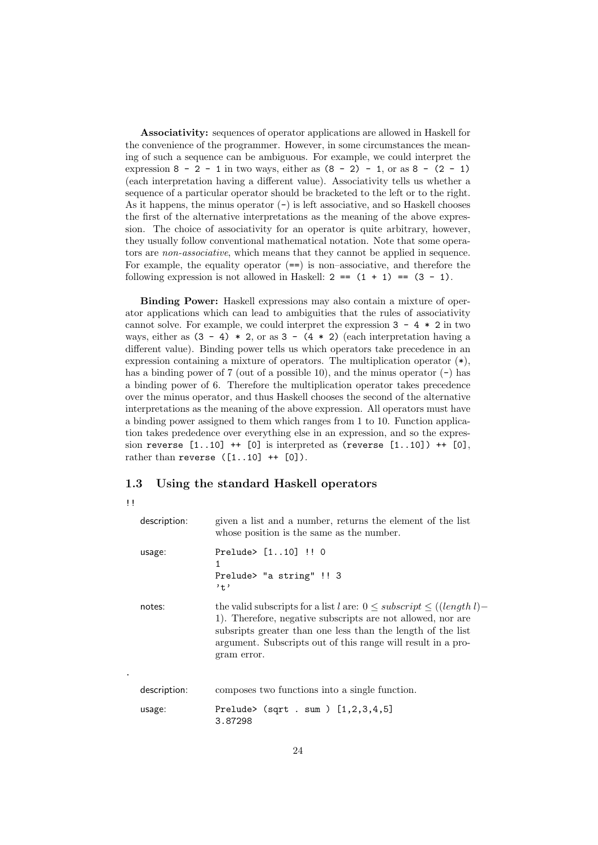Associativity: sequences of operator applications are allowed in Haskell for the convenience of the programmer. However, in some circumstances the meaning of such a sequence can be ambiguous. For example, we could interpret the expression 8 - 2 - 1 in two ways, either as  $(8 - 2) - 1$ , or as  $8 - (2 - 1)$ (each interpretation having a different value). Associativity tells us whether a sequence of a particular operator should be bracketed to the left or to the right. As it happens, the minus operator  $(-)$  is left associative, and so Haskell chooses the first of the alternative interpretations as the meaning of the above expression. The choice of associativity for an operator is quite arbitrary, however, they usually follow conventional mathematical notation. Note that some operators are *non-associative*, which means that they cannot be applied in sequence. For example, the equality operator  $(==)$  is non–associative, and therefore the following expression is not allowed in Haskell:  $2 = (1 + 1) = (3 - 1)$ .

Binding Power: Haskell expressions may also contain a mixture of operator applications which can lead to ambiguities that the rules of associativity cannot solve. For example, we could interpret the expression  $3 - 4 * 2$  in two ways, either as  $(3 - 4) * 2$ , or as  $3 - (4 * 2)$  (each interpretation having a different value). Binding power tells us which operators take precedence in an expression containing a mixture of operators. The multiplication operator  $(*),$ has a binding power of  $7$  (out of a possible 10), and the minus operator  $(-)$  has a binding power of 6. Therefore the multiplication operator takes precedence over the minus operator, and thus Haskell chooses the second of the alternative interpretations as the meaning of the above expression. All operators must have a binding power assigned to them which ranges from 1 to 10. Function application takes prededence over everything else in an expression, and so the expression reverse  $[1..10]$  ++  $[0]$  is interpreted as (reverse  $[1..10]$ ) ++  $[0]$ , rather than reverse  $([1..10]$  ++  $[0])$ .

#### 1.3 Using the standard Haskell operators

| ΤĪ |              |                                                                                                                                                                                                                                                                                        |
|----|--------------|----------------------------------------------------------------------------------------------------------------------------------------------------------------------------------------------------------------------------------------------------------------------------------------|
|    | description: | given a list and a number, returns the element of the list<br>whose position is the same as the number.                                                                                                                                                                                |
|    | usage:       | Prelude> [110] !! 0<br>1<br>Prelude> "a string" !! 3<br>$, +$                                                                                                                                                                                                                          |
|    | notes:       | the valid subscripts for a list l are: $0 \leq subscript \leq (length l)$<br>1). Therefore, negative subscripts are not allowed, nor are<br>subsripts greater than one less than the length of the list<br>argument. Subscripts out of this range will result in a pro-<br>gram error. |
|    | description: | composes two functions into a single function.                                                                                                                                                                                                                                         |
|    | usage:       | Prelude> $(sqrt \ . \ sum \ ) [1,2,3,4,5]$<br>3.87298                                                                                                                                                                                                                                  |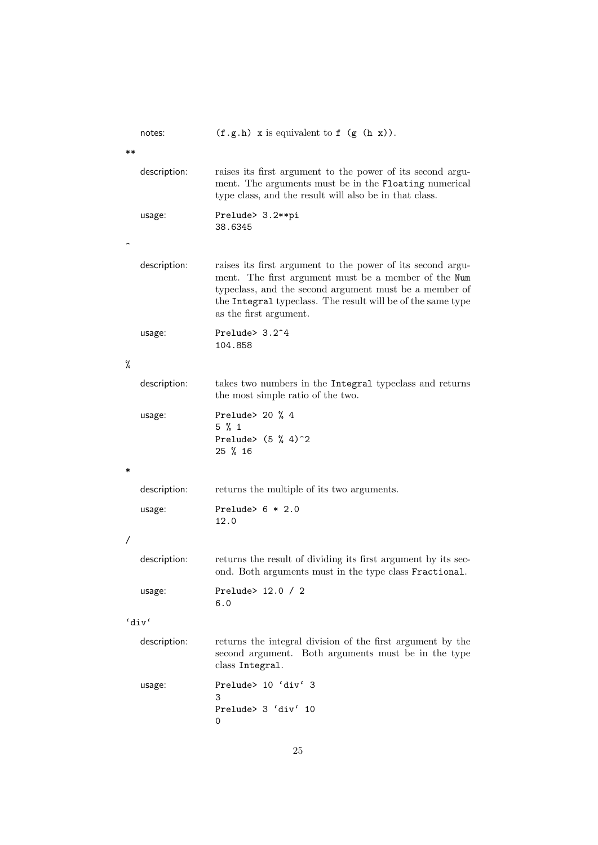|    | notes:       | $(f.g.h)$ x is equivalent to f $(g(h x))$ .                                                                                                                                                                                                                           |
|----|--------------|-----------------------------------------------------------------------------------------------------------------------------------------------------------------------------------------------------------------------------------------------------------------------|
| ** |              |                                                                                                                                                                                                                                                                       |
|    | description: | raises its first argument to the power of its second argu-<br>ment. The arguments must be in the Floating numerical<br>type class, and the result will also be in that class.                                                                                         |
|    | usage:       | Prelude> 3.2**pi<br>38.6345                                                                                                                                                                                                                                           |
|    |              |                                                                                                                                                                                                                                                                       |
|    | description: | raises its first argument to the power of its second argu-<br>ment. The first argument must be a member of the Num<br>typeclass, and the second argument must be a member of<br>the Integral typeclass. The result will be of the same type<br>as the first argument. |
|    | usage:       | Prelude> 3.2 <sup>~4</sup><br>104.858                                                                                                                                                                                                                                 |
| %  |              |                                                                                                                                                                                                                                                                       |
|    | description: | takes two numbers in the Integral typeclass and returns<br>the most simple ratio of the two.                                                                                                                                                                          |
|    | usage:       | Prelude > 20 $%$ 4<br>$5 \% 1$<br>Prelude> $(5 % 4)^2$<br>25 % 16                                                                                                                                                                                                     |
| ∗  |              |                                                                                                                                                                                                                                                                       |
|    | description: | returns the multiple of its two arguments.                                                                                                                                                                                                                            |
|    | usage:       | Prelude> $6 * 2.0$<br>12.0                                                                                                                                                                                                                                            |
| Τ  |              |                                                                                                                                                                                                                                                                       |
|    | description: | returns the result of dividing its first argument by its sec-<br>ond. Both arguments must in the type class Fractional.                                                                                                                                               |
|    | usage:       | Prelude> 12.0 / 2<br>6.0                                                                                                                                                                                                                                              |
|    | 'div'        |                                                                                                                                                                                                                                                                       |
|    | description: | returns the integral division of the first argument by the<br>second argument. Both arguments must be in the type<br>class Integral.                                                                                                                                  |
|    | usage:       | Prelude> 10 'div' 3<br>3<br>Prelude> 3 'div' 10<br>0                                                                                                                                                                                                                  |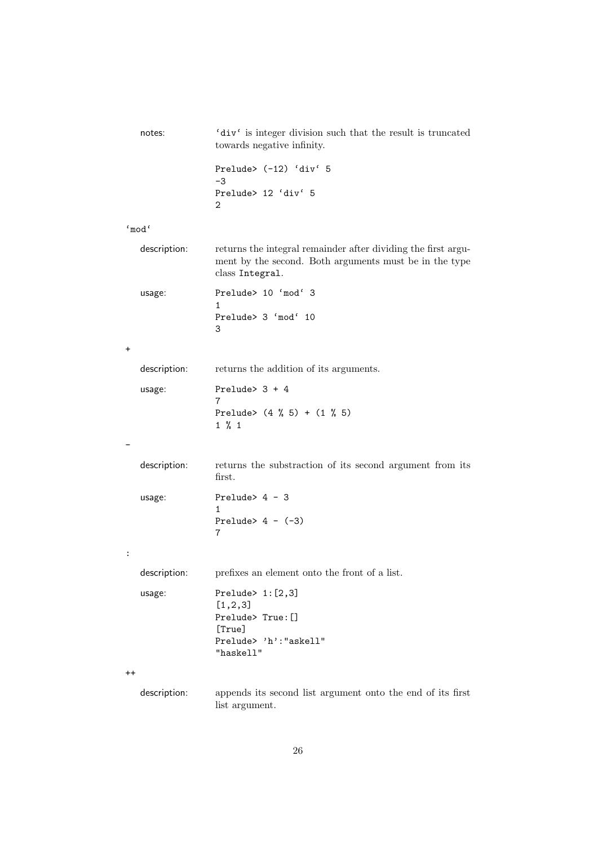| notes:          | $^{\prime} \mathtt{div} \, \mathfrak{c}$ is integer division such that the result is truncated<br>towards negative infinity.               |
|-----------------|--------------------------------------------------------------------------------------------------------------------------------------------|
|                 | Prelude> (-12) 'div' 5<br>$-3$                                                                                                             |
|                 | Prelude> 12 'div' 5<br>2                                                                                                                   |
| 'mod'           |                                                                                                                                            |
| description:    | returns the integral remainder after dividing the first argu-<br>ment by the second. Both arguments must be in the type<br>class Integral. |
| usage:          | Prelude> 10 'mod' 3                                                                                                                        |
|                 | 1<br>Prelude> 3 'mod' 10<br>3                                                                                                              |
| $\ddot{}$       |                                                                                                                                            |
| description:    | returns the addition of its arguments.                                                                                                     |
| usage:          | Prelude> $3 + 4$<br>7                                                                                                                      |
|                 | Prelude> $(4 \t% 5) + (1 \t% 5)$<br>$1 \% 1$                                                                                               |
|                 |                                                                                                                                            |
| description:    | returns the substraction of its second argument from its<br>first.                                                                         |
| usage:          | Prelude> $4 - 3$<br>1                                                                                                                      |
|                 | Prelude> $4 - (-3)$<br>7                                                                                                                   |
| :               |                                                                                                                                            |
| description:    | prefixes an element onto the front of a list.                                                                                              |
| usage:          | Prelude $> 1: [2,3]$<br>[1, 2, 3]<br>Prelude> True: []                                                                                     |
|                 | [True]<br>Prelude> 'h': "askell"<br>"haskell"                                                                                              |
| $^{\mathrm{+}}$ |                                                                                                                                            |
| description:    | appends its second list argument onto the end of its first<br>list argument.                                                               |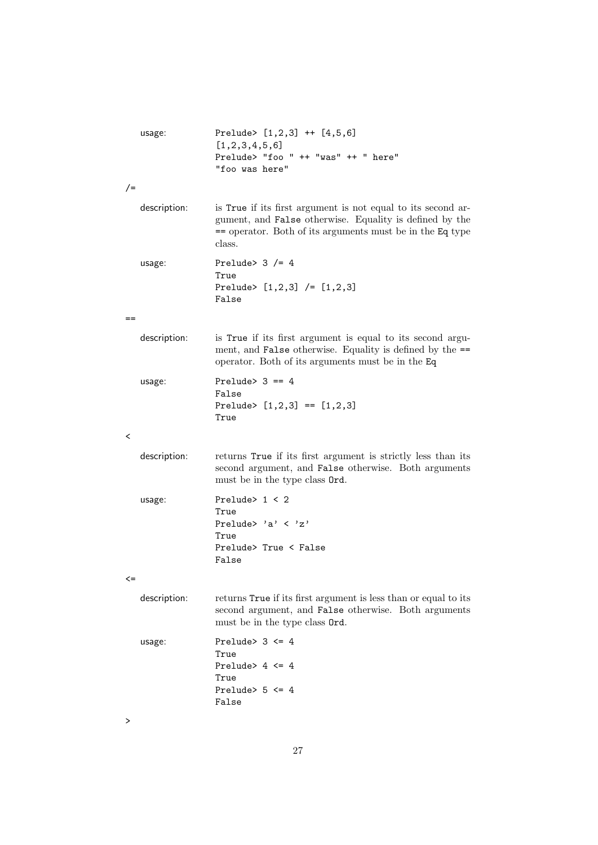|         | usage:       | Prelude> $[1,2,3]$ ++ $[4,5,6]$<br>[1, 2, 3, 4, 5, 6]<br>Prelude> "foo " ++ "was" ++ " here"<br>"foo was here"                                                                                  |
|---------|--------------|-------------------------------------------------------------------------------------------------------------------------------------------------------------------------------------------------|
| $/$ =   |              |                                                                                                                                                                                                 |
|         | description: | is True if its first argument is not equal to its second ar-<br>gument, and False otherwise. Equality is defined by the<br>$=$ operator. Both of its arguments must be in the Eq type<br>class. |
|         | usage:       | Prelude> $3$ /= 4<br>True<br>Prelude> $[1,2,3]$ /= $[1,2,3]$<br>False                                                                                                                           |
| $==$    |              |                                                                                                                                                                                                 |
|         | description: | is True if its first argument is equal to its second argu-<br>ment, and False otherwise. Equality is defined by the ==<br>operator. Both of its arguments must be in the Eq.                    |
|         | usage:       | Prelude> $3 == 4$<br>False<br>Prelude> $[1,2,3] == [1,2,3]$<br>True                                                                                                                             |
| $\,<\,$ |              |                                                                                                                                                                                                 |
|         | description: | returns True if its first argument is strictly less than its<br>second argument, and False otherwise. Both arguments<br>must be in the type class Ord.                                          |
|         | usage:       | Prelude > $1 < 2$<br>True<br>Prelude> 'a' $\langle$ 'z'<br>True<br>Prelude> True < False<br>False                                                                                               |
|         |              |                                                                                                                                                                                                 |
|         | description: | returns True if its first argument is less than or equal to its<br>second argument, and False otherwise. Both arguments<br>must be in the type class Ord.                                       |
|         | usage:       | Prelude> $3 \leq 4$<br>True<br>Prelude> $4 \leq 4$<br>True<br>Prelude> $5 \leq 4$<br>False                                                                                                      |

>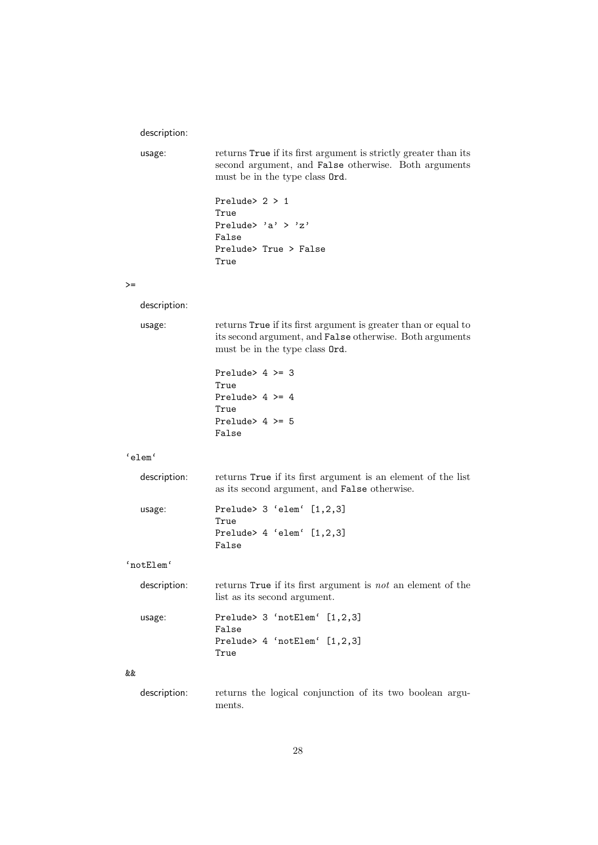#### description:

usage: returns True if its first argument is strictly greater than its second argument, and False otherwise. Both arguments must be in the type class Ord.

```
Prelude> 2 > 1
True
Prelude> 'a' > 'z'
False
Prelude> True > False
True
```
 $>=$ 

description:

| usage: | returns True if its first argument is greater than or equal to  |
|--------|-----------------------------------------------------------------|
|        | its second argument, and <b>False</b> otherwise. Both arguments |
|        | must be in the type class <b>Ord</b> .                          |

Prelude> 4 >= 3 True Prelude> 4 >= 4 True Prelude> 4 >= 5 False

False

#### 'elem'

| description: | returns True if its first argument is an element of the list<br>as its second argument, and <b>False</b> otherwise. |
|--------------|---------------------------------------------------------------------------------------------------------------------|
| usage:       | Prelude> $3$ 'elem' $[1,2,3]$<br>True                                                                               |
|              | Prelude > $4$ 'elem' $[1,2,3]$                                                                                      |

#### 'notElem'

| description: | returns True if its first argument is not an element of the<br>list as its second argument. |
|--------------|---------------------------------------------------------------------------------------------|
| usage:       | Prelude > $3$ 'notElem' $[1,2,3]$<br>False                                                  |
|              | Prelude> 4 'notElem' [1,2,3]<br>True                                                        |

#### &&

description: returns the logical conjunction of its two boolean arguments.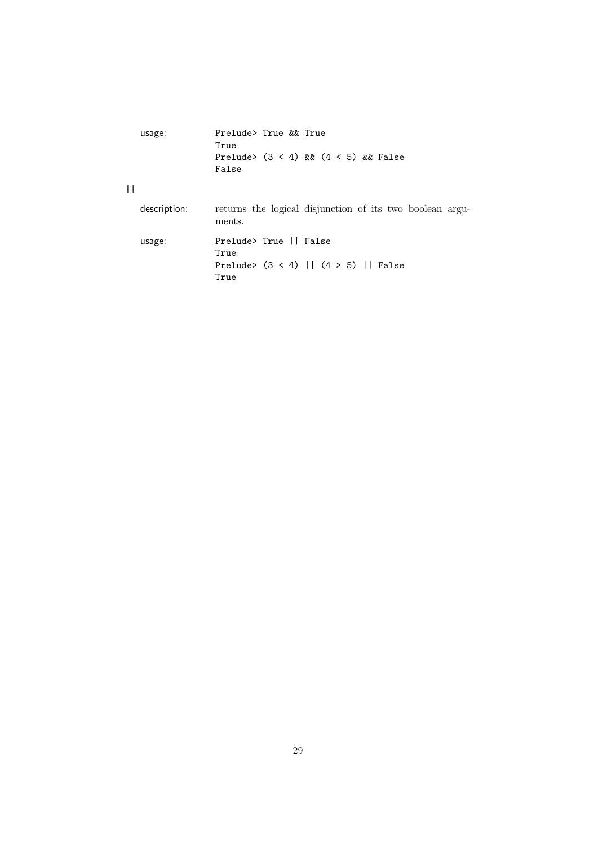| usage:       | Prelude> True && True<br>True                                                    |
|--------------|----------------------------------------------------------------------------------|
|              | Prelude> $(3 \lt 4)$ & $(4 \lt 5)$ & False<br>False                              |
| $\perp$      |                                                                                  |
| description: | returns the logical disjunction of its two boolean argu-<br>ments.               |
| usage:       | Prelude> True    False<br>True<br>Prelude> $(3 < 4)$   $(4 > 5)$   False<br>True |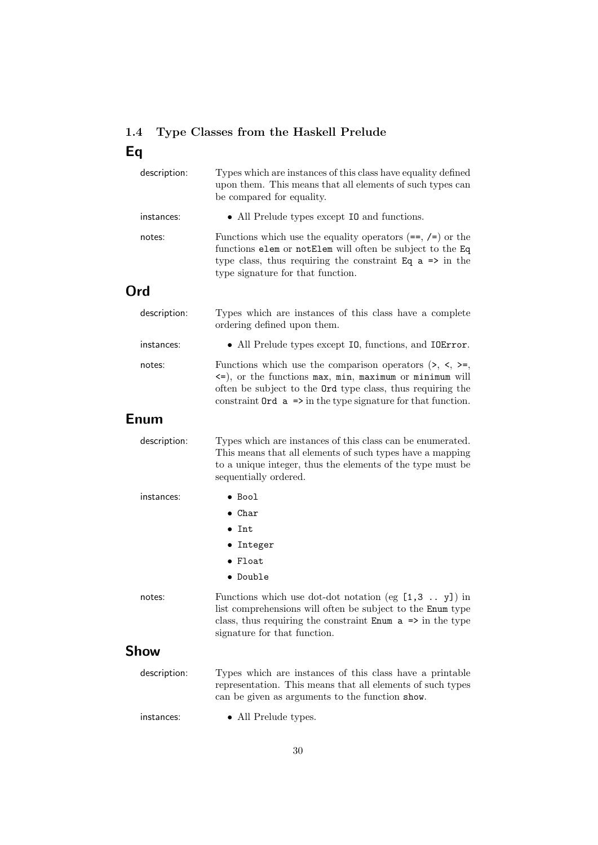## 1.4 Type Classes from the Haskell Prelude Eq

| description: | Types which are instances of this class have equality defined<br>upon them. This means that all elements of such types can<br>be compared for equality.                                                                                                                 |
|--------------|-------------------------------------------------------------------------------------------------------------------------------------------------------------------------------------------------------------------------------------------------------------------------|
| instances:   | • All Prelude types except 10 and functions.                                                                                                                                                                                                                            |
| notes:       | Functions which use the equality operators $(==, /=)$ or the<br>functions elem or notElem will often be subject to the Eq<br>type class, thus requiring the constraint Eq $a \Rightarrow$ in the<br>type signature for that function.                                   |
| Ord          |                                                                                                                                                                                                                                                                         |
| description: | Types which are instances of this class have a complete<br>ordering defined upon them.                                                                                                                                                                                  |
| instances:   | • All Prelude types except 10, functions, and IOError.                                                                                                                                                                                                                  |
| notes:       | Functions which use the comparison operators $(\ge, \le, \ge)$ ,<br><=), or the functions max, min, maximum or minimum will<br>often be subject to the Ord type class, thus requiring the<br>constraint $0$ rd $a \Rightarrow$ in the type signature for that function. |
| Enum         |                                                                                                                                                                                                                                                                         |
| description: | Types which are instances of this class can be enumerated.<br>This means that all elements of such types have a mapping<br>to a unique integer, thus the elements of the type must be<br>sequentially ordered.                                                          |
| instances:   | $\bullet$ Bool                                                                                                                                                                                                                                                          |
|              | $\bullet$ Char                                                                                                                                                                                                                                                          |
|              | $\bullet$ Int                                                                                                                                                                                                                                                           |
|              | • Integer                                                                                                                                                                                                                                                               |
|              | $\bullet$ Float                                                                                                                                                                                                                                                         |
|              | • Double                                                                                                                                                                                                                                                                |
| notes:       | Functions which use dot-dot notation (eg $[1,3, \ldots, y]$ ) in<br>list comprehensions will often be subject to the Enum type<br>class, thus requiring the constraint $\text{Enum } a \Rightarrow in \text{ the type}$<br>signature for that function.                 |
| Show         |                                                                                                                                                                                                                                                                         |
| description: | Types which are instances of this class have a printable<br>representation. This means that all elements of such types<br>can be given as arguments to the function show.                                                                                               |
| instances:   | • All Prelude types.                                                                                                                                                                                                                                                    |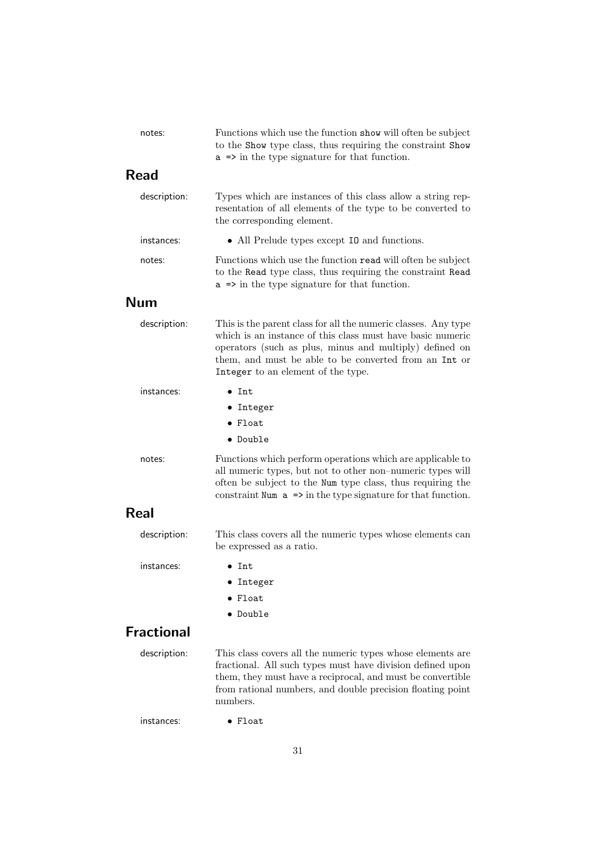| notes:            | Functions which use the function show will often be subject<br>to the Show type class, thus requiring the constraint Show<br>$a \Rightarrow$ in the type signature for that function.                                                                                                  |
|-------------------|----------------------------------------------------------------------------------------------------------------------------------------------------------------------------------------------------------------------------------------------------------------------------------------|
| <b>Read</b>       |                                                                                                                                                                                                                                                                                        |
| description:      | Types which are instances of this class allow a string rep-<br>resentation of all elements of the type to be converted to<br>the corresponding element.                                                                                                                                |
| instances:        | • All Prelude types except 10 and functions.                                                                                                                                                                                                                                           |
| notes:            | Functions which use the function read will often be subject<br>to the Read type class, thus requiring the constraint Read<br>$a \Rightarrow$ in the type signature for that function.                                                                                                  |
| <b>Num</b>        |                                                                                                                                                                                                                                                                                        |
| description:      | This is the parent class for all the numeric classes. Any type<br>which is an instance of this class must have basic numeric<br>operators (such as plus, minus and multiply) defined on<br>them, and must be able to be converted from an Int or<br>Integer to an element of the type. |
| instances:        | $\bullet$ Tnt.                                                                                                                                                                                                                                                                         |
|                   | • Integer                                                                                                                                                                                                                                                                              |
|                   | $\bullet$ Float                                                                                                                                                                                                                                                                        |
|                   | • Double                                                                                                                                                                                                                                                                               |
| notes:            | Functions which perform operations which are applicable to<br>all numeric types, but not to other non-numeric types will<br>often be subject to the Num type class, thus requiring the<br>constraint Num $a \Rightarrow$ in the type signature for that function.                      |
| Real              |                                                                                                                                                                                                                                                                                        |
| description:      | This class covers all the numeric types whose elements can<br>be expressed as a ratio.                                                                                                                                                                                                 |
| instances:        | $\bullet$ Int                                                                                                                                                                                                                                                                          |
|                   | Integer                                                                                                                                                                                                                                                                                |
|                   | Float                                                                                                                                                                                                                                                                                  |
|                   | Double                                                                                                                                                                                                                                                                                 |
| <b>Fractional</b> |                                                                                                                                                                                                                                                                                        |
| description:      | This class covers all the numeric types whose elements are<br>fractional. All such types must have division defined upon<br>them, they must have a reciprocal, and must be convertible<br>from rational numbers, and double precision floating point<br>numbers.                       |
| instances:        | Float                                                                                                                                                                                                                                                                                  |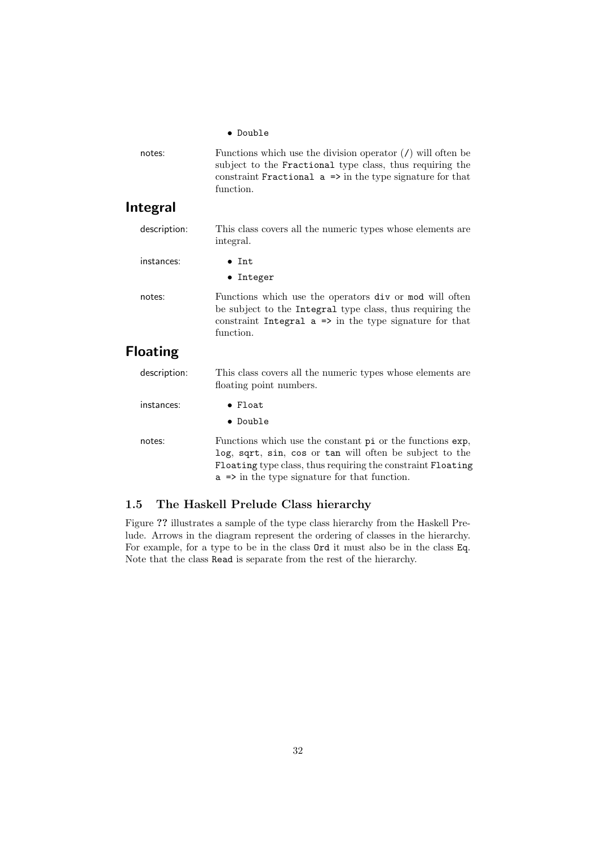|              | $\bullet$ Double                                                                                                                                                                                               |
|--------------|----------------------------------------------------------------------------------------------------------------------------------------------------------------------------------------------------------------|
| notes:       | Functions which use the division operator $($ ) will often be<br>subject to the Fractional type class, thus requiring the<br>constraint Fractional $a \Rightarrow$ in the type signature for that<br>function. |
| Integral     |                                                                                                                                                                                                                |
| description: | This class covers all the numeric types whose elements are<br>integral.                                                                                                                                        |
| instances:   | $\bullet$ Tnt.                                                                                                                                                                                                 |
|              | $\bullet$ Integer                                                                                                                                                                                              |

notes: Functions which use the operators div or mod will often be subject to the Integral type class, thus requiring the constraint Integral  $a \Rightarrow$  in the type signature for that function.

## Floating

| description: | This class covers all the numeric types whose elements are<br>floating point numbers.                                                                                                                                                           |
|--------------|-------------------------------------------------------------------------------------------------------------------------------------------------------------------------------------------------------------------------------------------------|
| instances:   | $\bullet$ Float<br>• Double                                                                                                                                                                                                                     |
| notes:       | Functions which use the constant pi or the functions exp.<br>log, sqrt, sin, cos or tan will often be subject to the<br>Floating type class, thus requiring the constraint Floating<br>$a \Rightarrow$ in the type signature for that function. |

### 1.5 The Haskell Prelude Class hierarchy

Figure ?? illustrates a sample of the type class hierarchy from the Haskell Prelude. Arrows in the diagram represent the ordering of classes in the hierarchy. For example, for a type to be in the class Ord it must also be in the class Eq. Note that the class Read is separate from the rest of the hierarchy.